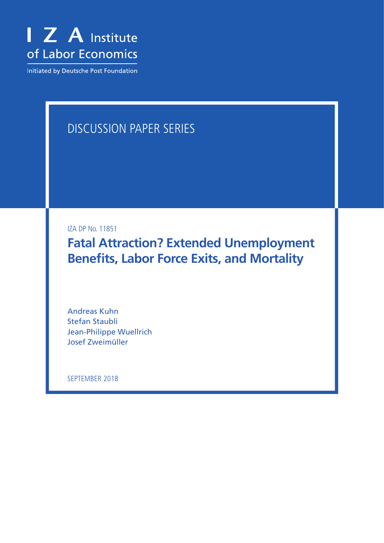

Initiated by Deutsche Post Foundation

# DISCUSSION PAPER SERIES

IZA DP No. 11851

**Fatal Attraction? Extended Unemployment Benefits, Labor Force Exits, and Mortality**

Andreas Kuhn Stefan Staubli Jean-Philippe Wuellrich Josef Zweimüller

SEPTEMBER 2018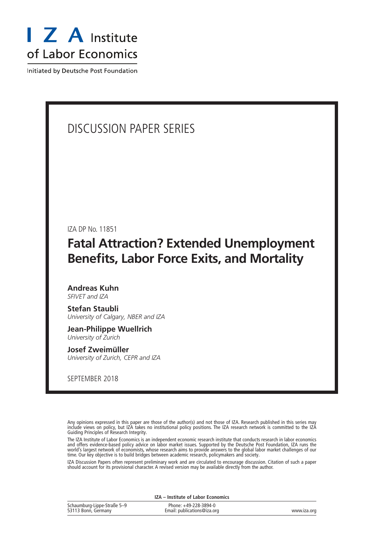

Initiated by Deutsche Post Foundation

# DISCUSSION PAPER SERIES

IZA DP No. 11851

# **Fatal Attraction? Extended Unemployment Benefits, Labor Force Exits, and Mortality**

**Andreas Kuhn** *SFIVET and IZA*

**Stefan Staubli** *University of Calgary, NBER and IZA*

**Jean-Philippe Wuellrich** *University of Zurich*

**Josef Zweimüller** *University of Zurich, CEPR and IZA*

SEPTEMBER 2018

Any opinions expressed in this paper are those of the author(s) and not those of IZA. Research published in this series may include views on policy, but IZA takes no institutional policy positions. The IZA research network is committed to the IZA Guiding Principles of Research Integrity.

The IZA Institute of Labor Economics is an independent economic research institute that conducts research in labor economics and offers evidence-based policy advice on labor market issues. Supported by the Deutsche Post Foundation, IZA runs the world's largest network of economists, whose research aims to provide answers to the global labor market challenges of our time. Our key objective is to build bridges between academic research, policymakers and society.

IZA Discussion Papers often represent preliminary work and are circulated to encourage discussion. Citation of such a paper should account for its provisional character. A revised version may be available directly from the author.

| IZA – Institute of Labor Economics                 |                                                      |             |  |  |  |
|----------------------------------------------------|------------------------------------------------------|-------------|--|--|--|
| Schaumburg-Lippe-Straße 5-9<br>53113 Bonn, Germany | Phone: +49-228-3894-0<br>Email: publications@iza.org | www.iza.org |  |  |  |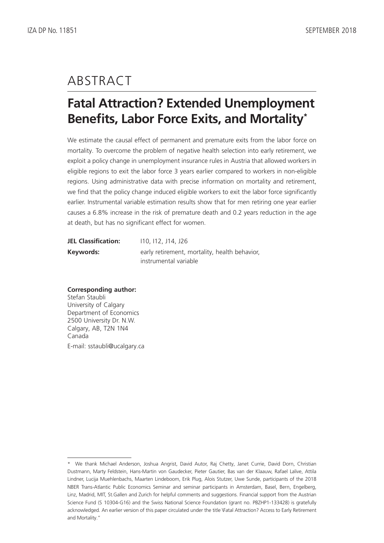# ABSTRACT

# **Fatal Attraction? Extended Unemployment Benefits, Labor Force Exits, and Mortality\***

We estimate the causal effect of permanent and premature exits from the labor force on mortality. To overcome the problem of negative health selection into early retirement, we exploit a policy change in unemployment insurance rules in Austria that allowed workers in eligible regions to exit the labor force 3 years earlier compared to workers in non-eligible regions. Using administrative data with precise information on mortality and retirement, we find that the policy change induced eligible workers to exit the labor force significantly earlier. Instrumental variable estimation results show that for men retiring one year earlier causes a 6.8% increase in the risk of premature death and 0.2 years reduction in the age at death, but has no significant effect for women.

| <b>JEL Classification:</b> | 110, 112, J14, J26                            |
|----------------------------|-----------------------------------------------|
| Keywords:                  | early retirement, mortality, health behavior, |
|                            | instrumental variable                         |

#### **Corresponding author:**

Stefan Staubli University of Calgary Department of Economics 2500 University Dr. N.W. Calgary, AB, T2N 1N4 Canada E-mail: sstaubli@ucalgary.ca

<sup>\*</sup> We thank Michael Anderson, Joshua Angrist, David Autor, Raj Chetty, Janet Currie, David Dorn, Christian Dustmann, Marty Feldstein, Hans-Martin von Gaudecker, Pieter Gautier, Bas van der Klaauw, Rafael Lalive, Attila Lindner, Lucija Muehlenbachs, Maarten Lindeboom, Erik Plug, Alois Stutzer, Uwe Sunde, participants of the 2018 NBER Trans-Atlantic Public Economics Seminar and seminar participants in Amsterdam, Basel, Bern, Engelberg, Linz, Madrid, MIT, St.Gallen and Zurich for helpful comments and suggestions. Financial support from the Austrian Science Fund (S 10304-G16) and the Swiss National Science Foundation (grant no. PBZHP1-133428) is gratefully acknowledged. An earlier version of this paper circulated under the title \Fatal Attraction? Access to Early Retirement and Mortality."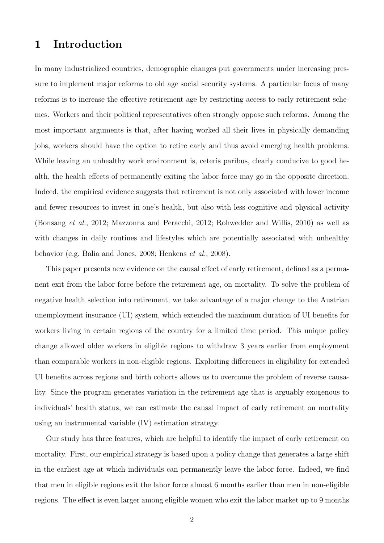# 1 Introduction

In many industrialized countries, demographic changes put governments under increasing pressure to implement major reforms to old age social security systems. A particular focus of many reforms is to increase the effective retirement age by restricting access to early retirement schemes. Workers and their political representatives often strongly oppose such reforms. Among the most important arguments is that, after having worked all their lives in physically demanding jobs, workers should have the option to retire early and thus avoid emerging health problems. While leaving an unhealthy work environment is, ceteris paribus, clearly conducive to good health, the health effects of permanently exiting the labor force may go in the opposite direction. Indeed, the empirical evidence suggests that retirement is not only associated with lower income and fewer resources to invest in one's health, but also with less cognitive and physical activity (Bonsang et al., 2012; Mazzonna and Peracchi, 2012; Rohwedder and Willis, 2010) as well as with changes in daily routines and lifestyles which are potentially associated with unhealthy behavior (e.g. Balia and Jones, 2008; Henkens et al., 2008).

This paper presents new evidence on the causal effect of early retirement, defined as a permanent exit from the labor force before the retirement age, on mortality. To solve the problem of negative health selection into retirement, we take advantage of a major change to the Austrian unemployment insurance (UI) system, which extended the maximum duration of UI benefits for workers living in certain regions of the country for a limited time period. This unique policy change allowed older workers in eligible regions to withdraw 3 years earlier from employment than comparable workers in non-eligible regions. Exploiting differences in eligibility for extended UI benefits across regions and birth cohorts allows us to overcome the problem of reverse causality. Since the program generates variation in the retirement age that is arguably exogenous to individuals' health status, we can estimate the causal impact of early retirement on mortality using an instrumental variable (IV) estimation strategy.

Our study has three features, which are helpful to identify the impact of early retirement on mortality. First, our empirical strategy is based upon a policy change that generates a large shift in the earliest age at which individuals can permanently leave the labor force. Indeed, we find that men in eligible regions exit the labor force almost 6 months earlier than men in non-eligible regions. The effect is even larger among eligible women who exit the labor market up to 9 months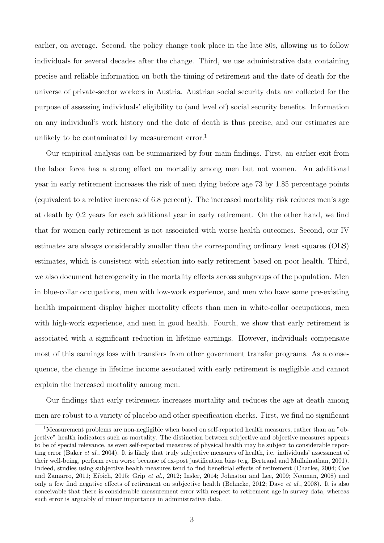earlier, on average. Second, the policy change took place in the late 80s, allowing us to follow individuals for several decades after the change. Third, we use administrative data containing precise and reliable information on both the timing of retirement and the date of death for the universe of private-sector workers in Austria. Austrian social security data are collected for the purpose of assessing individuals' eligibility to (and level of) social security benefits. Information on any individual's work history and the date of death is thus precise, and our estimates are unlikely to be contaminated by measurement error.<sup>1</sup>

Our empirical analysis can be summarized by four main findings. First, an earlier exit from the labor force has a strong effect on mortality among men but not women. An additional year in early retirement increases the risk of men dying before age 73 by 1.85 percentage points (equivalent to a relative increase of 6.8 percent). The increased mortality risk reduces men's age at death by 0.2 years for each additional year in early retirement. On the other hand, we find that for women early retirement is not associated with worse health outcomes. Second, our IV estimates are always considerably smaller than the corresponding ordinary least squares (OLS) estimates, which is consistent with selection into early retirement based on poor health. Third, we also document heterogeneity in the mortality effects across subgroups of the population. Men in blue-collar occupations, men with low-work experience, and men who have some pre-existing health impairment display higher mortality effects than men in white-collar occupations, men with high-work experience, and men in good health. Fourth, we show that early retirement is associated with a significant reduction in lifetime earnings. However, individuals compensate most of this earnings loss with transfers from other government transfer programs. As a consequence, the change in lifetime income associated with early retirement is negligible and cannot explain the increased mortality among men.

Our findings that early retirement increases mortality and reduces the age at death among men are robust to a variety of placebo and other specification checks. First, we find no significant

<sup>1</sup>Measurement problems are non-negligible when based on self-reported health measures, rather than an "objective" health indicators such as mortality. The distinction between subjective and objective measures appears to be of special relevance, as even self-reported measures of physical health may be subject to considerable reporting error (Baker *et al.*, 2004). It is likely that truly subjective measures of health, i.e. individuals' assessment of their well-being, perform even worse because of ex-post justification bias (e.g. Bertrand and Mullainathan, 2001). Indeed, studies using subjective health measures tend to find beneficial effects of retirement (Charles, 2004; Coe and Zamarro, 2011; Eibich, 2015; Grip et al., 2012; Insler, 2014; Johnston and Lee, 2009; Neuman, 2008) and only a few find negative effects of retirement on subjective health (Behncke, 2012; Dave et al., 2008). It is also conceivable that there is considerable measurement error with respect to retirement age in survey data, whereas such error is arguably of minor importance in administrative data.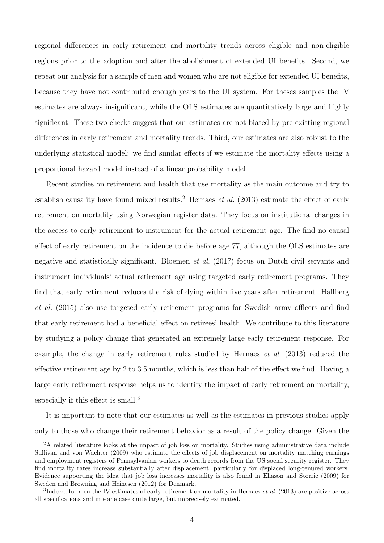regional differences in early retirement and mortality trends across eligible and non-eligible regions prior to the adoption and after the abolishment of extended UI benefits. Second, we repeat our analysis for a sample of men and women who are not eligible for extended UI benefits, because they have not contributed enough years to the UI system. For theses samples the IV estimates are always insignificant, while the OLS estimates are quantitatively large and highly significant. These two checks suggest that our estimates are not biased by pre-existing regional differences in early retirement and mortality trends. Third, our estimates are also robust to the underlying statistical model: we find similar effects if we estimate the mortality effects using a proportional hazard model instead of a linear probability model.

Recent studies on retirement and health that use mortality as the main outcome and try to establish causality have found mixed results.<sup>2</sup> Hernaes *et al.* (2013) estimate the effect of early retirement on mortality using Norwegian register data. They focus on institutional changes in the access to early retirement to instrument for the actual retirement age. The find no causal effect of early retirement on the incidence to die before age 77, although the OLS estimates are negative and statistically significant. Bloemen *et al.* (2017) focus on Dutch civil servants and instrument individuals' actual retirement age using targeted early retirement programs. They find that early retirement reduces the risk of dying within five years after retirement. Hallberg et al. (2015) also use targeted early retirement programs for Swedish army officers and find that early retirement had a beneficial effect on retirees' health. We contribute to this literature by studying a policy change that generated an extremely large early retirement response. For example, the change in early retirement rules studied by Hernaes et al. (2013) reduced the effective retirement age by 2 to 3.5 months, which is less than half of the effect we find. Having a large early retirement response helps us to identify the impact of early retirement on mortality, especially if this effect is small.<sup>3</sup>

It is important to note that our estimates as well as the estimates in previous studies apply only to those who change their retirement behavior as a result of the policy change. Given the

<sup>&</sup>lt;sup>2</sup>A related literature looks at the impact of job loss on mortality. Studies using administrative data include Sullivan and von Wachter (2009) who estimate the effects of job displacement on mortality matching earnings and employment registers of Pennsylvanian workers to death records from the US social security register. They find mortality rates increase substantially after displacement, particularly for displaced long-tenured workers. Evidence supporting the idea that job loss increases mortality is also found in Eliason and Storrie (2009) for Sweden and Browning and Heinesen (2012) for Denmark.

 ${}^{3}$ Indeed, for men the IV estimates of early retirement on mortality in Hernaes *et al.* (2013) are positive across all specifications and in some case quite large, but imprecisely estimated.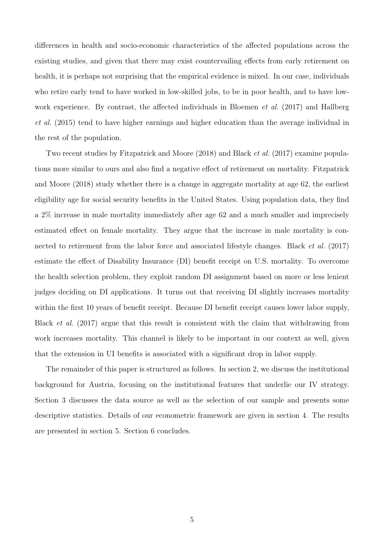differences in health and socio-economic characteristics of the affected populations across the existing studies, and given that there may exist countervailing effects from early retirement on health, it is perhaps not surprising that the empirical evidence is mixed. In our case, individuals who retire early tend to have worked in low-skilled jobs, to be in poor health, and to have lowwork experience. By contrast, the affected individuals in Bloemen *et al.* (2017) and Hallberg et al. (2015) tend to have higher earnings and higher education than the average individual in the rest of the population.

Two recent studies by Fitzpatrick and Moore (2018) and Black et al. (2017) examine populations more similar to ours and also find a negative effect of retirement on mortality. Fitzpatrick and Moore (2018) study whether there is a change in aggregate mortality at age 62, the earliest eligibility age for social security benefits in the United States. Using population data, they find a 2% increase in male mortality immediately after age 62 and a much smaller and imprecisely estimated effect on female mortality. They argue that the increase in male mortality is connected to retirement from the labor force and associated lifestyle changes. Black *et al.* (2017) estimate the effect of Disability Insurance (DI) benefit receipt on U.S. mortality. To overcome the health selection problem, they exploit random DI assignment based on more or less lenient judges deciding on DI applications. It turns out that receiving DI slightly increases mortality within the first 10 years of benefit receipt. Because DI benefit receipt causes lower labor supply, Black et al. (2017) argue that this result is consistent with the claim that withdrawing from work increases mortality. This channel is likely to be important in our context as well, given that the extension in UI benefits is associated with a significant drop in labor supply.

The remainder of this paper is structured as follows. In section 2, we discuss the institutional background for Austria, focusing on the institutional features that underlie our IV strategy. Section 3 discusses the data source as well as the selection of our sample and presents some descriptive statistics. Details of our econometric framework are given in section 4. The results are presented in section 5. Section 6 concludes.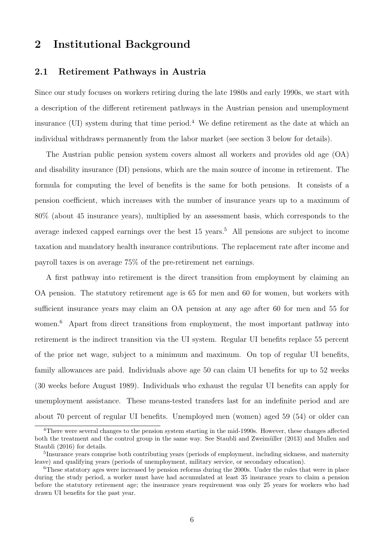## 2 Institutional Background

### 2.1 Retirement Pathways in Austria

Since our study focuses on workers retiring during the late 1980s and early 1990s, we start with a description of the different retirement pathways in the Austrian pension and unemployment insurance (UI) system during that time period.<sup>4</sup> We define retirement as the date at which an individual withdraws permanently from the labor market (see section 3 below for details).

The Austrian public pension system covers almost all workers and provides old age (OA) and disability insurance (DI) pensions, which are the main source of income in retirement. The formula for computing the level of benefits is the same for both pensions. It consists of a pension coefficient, which increases with the number of insurance years up to a maximum of 80% (about 45 insurance years), multiplied by an assessment basis, which corresponds to the average indexed capped earnings over the best  $15$  years.<sup>5</sup> All pensions are subject to income taxation and mandatory health insurance contributions. The replacement rate after income and payroll taxes is on average 75% of the pre-retirement net earnings.

A first pathway into retirement is the direct transition from employment by claiming an OA pension. The statutory retirement age is 65 for men and 60 for women, but workers with sufficient insurance years may claim an OA pension at any age after 60 for men and 55 for women.<sup>6</sup> Apart from direct transitions from employment, the most important pathway into retirement is the indirect transition via the UI system. Regular UI benefits replace 55 percent of the prior net wage, subject to a minimum and maximum. On top of regular UI benefits, family allowances are paid. Individuals above age 50 can claim UI benefits for up to 52 weeks (30 weeks before August 1989). Individuals who exhaust the regular UI benefits can apply for unemployment assistance. These means-tested transfers last for an indefinite period and are about 70 percent of regular UI benefits. Unemployed men (women) aged 59 (54) or older can

<sup>&</sup>lt;sup>4</sup>There were several changes to the pension system starting in the mid-1990s. However, these changes affected both the treatment and the control group in the same way. See Staubli and Zweimüller (2013) and Mullen and Staubli (2016) for details.

<sup>&</sup>lt;sup>5</sup>Insurance years comprise both contributing years (periods of employment, including sickness, and maternity leave) and qualifying years (periods of unemployment, military service, or secondary education).

<sup>6</sup>These statutory ages were increased by pension reforms during the 2000s. Under the rules that were in place during the study period, a worker must have had accumulated at least 35 insurance years to claim a pension before the statutory retirement age; the insurance years requirement was only 25 years for workers who had drawn UI benefits for the past year.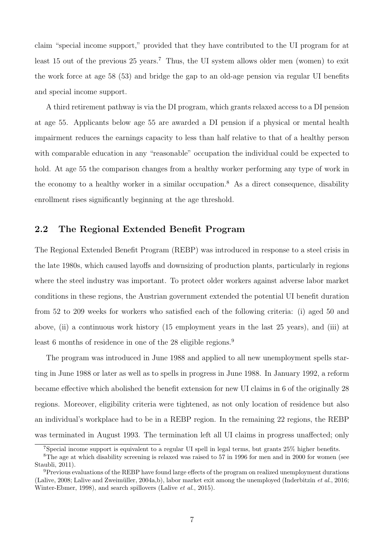claim "special income support," provided that they have contributed to the UI program for at least 15 out of the previous  $25$  years.<sup>7</sup> Thus, the UI system allows older men (women) to exit the work force at age 58 (53) and bridge the gap to an old-age pension via regular UI benefits and special income support.

A third retirement pathway is via the DI program, which grants relaxed access to a DI pension at age 55. Applicants below age 55 are awarded a DI pension if a physical or mental health impairment reduces the earnings capacity to less than half relative to that of a healthy person with comparable education in any "reasonable" occupation the individual could be expected to hold. At age 55 the comparison changes from a healthy worker performing any type of work in the economy to a healthy worker in a similar occupation.<sup>8</sup> As a direct consequence, disability enrollment rises significantly beginning at the age threshold.

### 2.2 The Regional Extended Benefit Program

The Regional Extended Benefit Program (REBP) was introduced in response to a steel crisis in the late 1980s, which caused layoffs and downsizing of production plants, particularly in regions where the steel industry was important. To protect older workers against adverse labor market conditions in these regions, the Austrian government extended the potential UI benefit duration from 52 to 209 weeks for workers who satisfied each of the following criteria: (i) aged 50 and above, (ii) a continuous work history (15 employment years in the last 25 years), and (iii) at least 6 months of residence in one of the 28 eligible regions.<sup>9</sup>

The program was introduced in June 1988 and applied to all new unemployment spells starting in June 1988 or later as well as to spells in progress in June 1988. In January 1992, a reform became effective which abolished the benefit extension for new UI claims in 6 of the originally 28 regions. Moreover, eligibility criteria were tightened, as not only location of residence but also an individual's workplace had to be in a REBP region. In the remaining 22 regions, the REBP was terminated in August 1993. The termination left all UI claims in progress unaffected; only

<sup>7</sup>Special income support is equivalent to a regular UI spell in legal terms, but grants 25% higher benefits.

<sup>8</sup>The age at which disability screening is relaxed was raised to 57 in 1996 for men and in 2000 for women (see Staubli, 2011).

<sup>9</sup>Previous evaluations of the REBP have found large effects of the program on realized unemployment durations (Lalive, 2008; Lalive and Zweimüller, 2004a,b), labor market exit among the unemployed (Inderbitzin et al., 2016; Winter-Ebmer, 1998), and search spillovers (Lalive et al., 2015).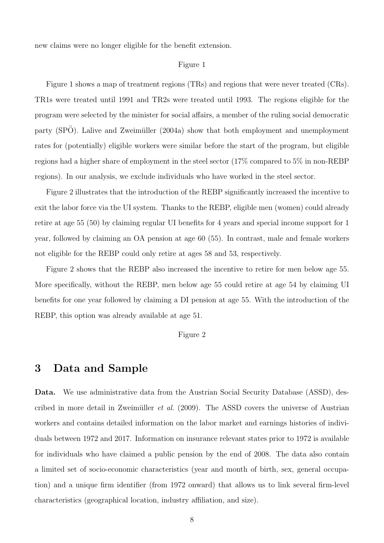new claims were no longer eligible for the benefit extension.

#### Figure 1

Figure 1 shows a map of treatment regions (TRs) and regions that were never treated (CRs). TR1s were treated until 1991 and TR2s were treated until 1993. The regions eligible for the program were selected by the minister for social affairs, a member of the ruling social democratic party (SPO). Lalive and Zweimüller  $(2004a)$  show that both employment and unemployment rates for (potentially) eligible workers were similar before the start of the program, but eligible regions had a higher share of employment in the steel sector (17% compared to 5% in non-REBP regions). In our analysis, we exclude individuals who have worked in the steel sector.

Figure 2 illustrates that the introduction of the REBP significantly increased the incentive to exit the labor force via the UI system. Thanks to the REBP, eligible men (women) could already retire at age 55 (50) by claiming regular UI benefits for 4 years and special income support for 1 year, followed by claiming an OA pension at age 60 (55). In contrast, male and female workers not eligible for the REBP could only retire at ages 58 and 53, respectively.

Figure 2 shows that the REBP also increased the incentive to retire for men below age 55. More specifically, without the REBP, men below age 55 could retire at age 54 by claiming UI benefits for one year followed by claiming a DI pension at age 55. With the introduction of the REBP, this option was already available at age 51.

#### Figure 2

## 3 Data and Sample

Data. We use administrative data from the Austrian Social Security Database (ASSD), described in more detail in Zweimüller *et al.* (2009). The ASSD covers the universe of Austrian workers and contains detailed information on the labor market and earnings histories of individuals between 1972 and 2017. Information on insurance relevant states prior to 1972 is available for individuals who have claimed a public pension by the end of 2008. The data also contain a limited set of socio-economic characteristics (year and month of birth, sex, general occupation) and a unique firm identifier (from 1972 onward) that allows us to link several firm-level characteristics (geographical location, industry affiliation, and size).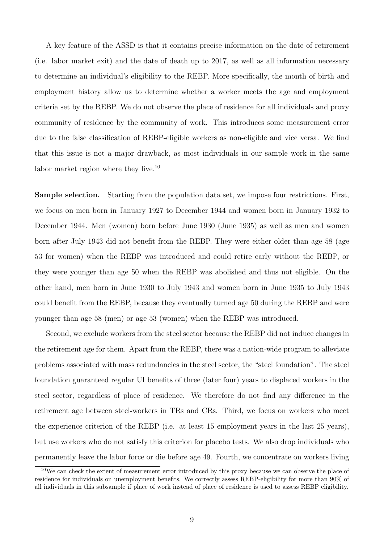A key feature of the ASSD is that it contains precise information on the date of retirement (i.e. labor market exit) and the date of death up to 2017, as well as all information necessary to determine an individual's eligibility to the REBP. More specifically, the month of birth and employment history allow us to determine whether a worker meets the age and employment criteria set by the REBP. We do not observe the place of residence for all individuals and proxy community of residence by the community of work. This introduces some measurement error due to the false classification of REBP-eligible workers as non-eligible and vice versa. We find that this issue is not a major drawback, as most individuals in our sample work in the same labor market region where they live.<sup>10</sup>

Sample selection. Starting from the population data set, we impose four restrictions. First, we focus on men born in January 1927 to December 1944 and women born in January 1932 to December 1944. Men (women) born before June 1930 (June 1935) as well as men and women born after July 1943 did not benefit from the REBP. They were either older than age 58 (age 53 for women) when the REBP was introduced and could retire early without the REBP, or they were younger than age 50 when the REBP was abolished and thus not eligible. On the other hand, men born in June 1930 to July 1943 and women born in June 1935 to July 1943 could benefit from the REBP, because they eventually turned age 50 during the REBP and were younger than age 58 (men) or age 53 (women) when the REBP was introduced.

Second, we exclude workers from the steel sector because the REBP did not induce changes in the retirement age for them. Apart from the REBP, there was a nation-wide program to alleviate problems associated with mass redundancies in the steel sector, the "steel foundation". The steel foundation guaranteed regular UI benefits of three (later four) years to displaced workers in the steel sector, regardless of place of residence. We therefore do not find any difference in the retirement age between steel-workers in TRs and CRs. Third, we focus on workers who meet the experience criterion of the REBP (i.e. at least 15 employment years in the last 25 years), but use workers who do not satisfy this criterion for placebo tests. We also drop individuals who permanently leave the labor force or die before age 49. Fourth, we concentrate on workers living

<sup>&</sup>lt;sup>10</sup>We can check the extent of measurement error introduced by this proxy because we can observe the place of residence for individuals on unemployment benefits. We correctly assess REBP-eligibility for more than 90% of all individuals in this subsample if place of work instead of place of residence is used to assess REBP eligibility.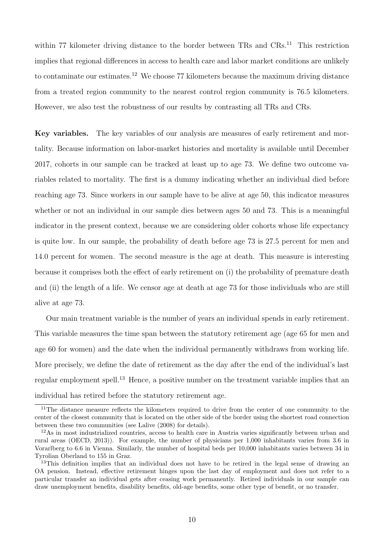within 77 kilometer driving distance to the border between TRs and CRs.<sup>11</sup> This restriction implies that regional differences in access to health care and labor market conditions are unlikely to contaminate our estimates.<sup>12</sup> We choose 77 kilometers because the maximum driving distance from a treated region community to the nearest control region community is 76.5 kilometers. However, we also test the robustness of our results by contrasting all TRs and CRs.

Key variables. The key variables of our analysis are measures of early retirement and mortality. Because information on labor-market histories and mortality is available until December 2017, cohorts in our sample can be tracked at least up to age 73. We define two outcome variables related to mortality. The first is a dummy indicating whether an individual died before reaching age 73. Since workers in our sample have to be alive at age 50, this indicator measures whether or not an individual in our sample dies between ages 50 and 73. This is a meaningful indicator in the present context, because we are considering older cohorts whose life expectancy is quite low. In our sample, the probability of death before age 73 is 27.5 percent for men and 14.0 percent for women. The second measure is the age at death. This measure is interesting because it comprises both the effect of early retirement on (i) the probability of premature death and (ii) the length of a life. We censor age at death at age 73 for those individuals who are still alive at age 73.

Our main treatment variable is the number of years an individual spends in early retirement. This variable measures the time span between the statutory retirement age (age 65 for men and age 60 for women) and the date when the individual permanently withdraws from working life. More precisely, we define the date of retirement as the day after the end of the individual's last regular employment spell.<sup>13</sup> Hence, a positive number on the treatment variable implies that an individual has retired before the statutory retirement age.

<sup>&</sup>lt;sup>11</sup>The distance measure reflects the kilometers required to drive from the center of one community to the center of the closest community that is located on the other side of the border using the shortest road connection between these two communities (see Lalive (2008) for details).

 $12\text{As}$  in most industrialized countries, access to health care in Austria varies significantly between urban and rural areas (OECD, 2013)). For example, the number of physicians per 1,000 inhabitants varies from 3.6 in Vorarlberg to 6.6 in Vienna. Similarly, the number of hospital beds per 10,000 inhabitants varies between 34 in Tyrolian Oberland to 155 in Graz.

 $13$ This definition implies that an individual does not have to be retired in the legal sense of drawing an OA pension. Instead, effective retirement hinges upon the last day of employment and does not refer to a particular transfer an individual gets after ceasing work permanently. Retired individuals in our sample can draw unemployment benefits, disability benefits, old-age benefits, some other type of benefit, or no transfer.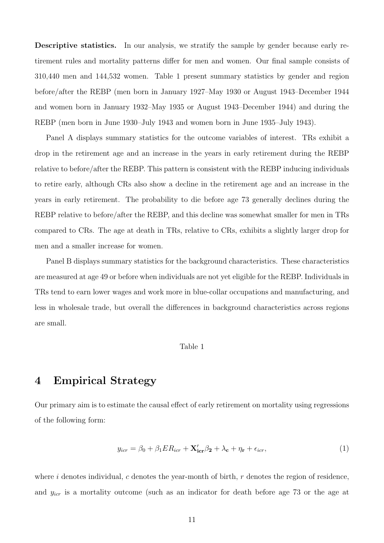Descriptive statistics. In our analysis, we stratify the sample by gender because early retirement rules and mortality patterns differ for men and women. Our final sample consists of 310,440 men and 144,532 women. Table 1 present summary statistics by gender and region before/after the REBP (men born in January 1927–May 1930 or August 1943–December 1944 and women born in January 1932–May 1935 or August 1943–December 1944) and during the REBP (men born in June 1930–July 1943 and women born in June 1935–July 1943).

Panel A displays summary statistics for the outcome variables of interest. TRs exhibit a drop in the retirement age and an increase in the years in early retirement during the REBP relative to before/after the REBP. This pattern is consistent with the REBP inducing individuals to retire early, although CRs also show a decline in the retirement age and an increase in the years in early retirement. The probability to die before age 73 generally declines during the REBP relative to before/after the REBP, and this decline was somewhat smaller for men in TRs compared to CRs. The age at death in TRs, relative to CRs, exhibits a slightly larger drop for men and a smaller increase for women.

Panel B displays summary statistics for the background characteristics. These characteristics are measured at age 49 or before when individuals are not yet eligible for the REBP. Individuals in TRs tend to earn lower wages and work more in blue-collar occupations and manufacturing, and less in wholesale trade, but overall the differences in background characteristics across regions are small.

#### Table 1

## 4 Empirical Strategy

Our primary aim is to estimate the causal effect of early retirement on mortality using regressions of the following form:

$$
y_{icr} = \beta_0 + \beta_1 ER_{icr} + \mathbf{X'_{icr}}\beta_2 + \lambda_c + \eta_r + \epsilon_{icr},\tag{1}
$$

where i denotes individual, c denotes the year-month of birth,  $r$  denotes the region of residence, and  $y_{icr}$  is a mortality outcome (such as an indicator for death before age 73 or the age at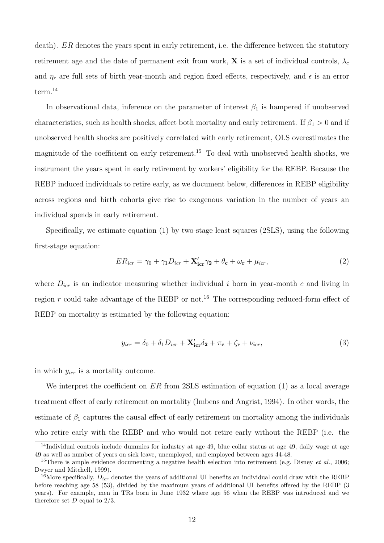death). ER denotes the years spent in early retirement, i.e. the difference between the statutory retirement age and the date of permanent exit from work, **X** is a set of individual controls,  $\lambda_c$ and  $\eta_r$  are full sets of birth year-month and region fixed effects, respectively, and  $\epsilon$  is an error term.<sup>14</sup>

In observational data, inference on the parameter of interest  $\beta_1$  is hampered if unobserved characteristics, such as health shocks, affect both mortality and early retirement. If  $\beta_1 > 0$  and if unobserved health shocks are positively correlated with early retirement, OLS overestimates the magnitude of the coefficient on early retirement.<sup>15</sup> To deal with unobserved health shocks, we instrument the years spent in early retirement by workers' eligibility for the REBP. Because the REBP induced individuals to retire early, as we document below, differences in REBP eligibility across regions and birth cohorts give rise to exogenous variation in the number of years an individual spends in early retirement.

Specifically, we estimate equation (1) by two-stage least squares (2SLS), using the following first-stage equation:

$$
ER_{icr} = \gamma_0 + \gamma_1 D_{icr} + \mathbf{X'_{icr}} \gamma_2 + \theta_c + \omega_r + \mu_{icr},\tag{2}
$$

where  $D_{icr}$  is an indicator measuring whether individual i born in year-month c and living in region r could take advantage of the REBP or not.<sup>16</sup> The corresponding reduced-form effect of REBP on mortality is estimated by the following equation:

$$
y_{icr} = \delta_0 + \delta_1 D_{icr} + \mathbf{X'_{icr}} \delta_2 + \pi_c + \zeta_r + \nu_{icr},\tag{3}
$$

in which  $y_{icr}$  is a mortality outcome.

We interpret the coefficient on  $ER$  from 2SLS estimation of equation (1) as a local average treatment effect of early retirement on mortality (Imbens and Angrist, 1994). In other words, the estimate of  $\beta_1$  captures the causal effect of early retirement on mortality among the individuals who retire early with the REBP and who would not retire early without the REBP (i.e. the

<sup>&</sup>lt;sup>14</sup>Individual controls include dummies for industry at age 49, blue collar status at age 49, daily wage at age 49 as well as number of years on sick leave, unemployed, and employed between ages 44-48.

<sup>&</sup>lt;sup>15</sup>There is ample evidence documenting a negative health selection into retirement (e.g. Disney *et al.*, 2006; Dwyer and Mitchell, 1999).

<sup>&</sup>lt;sup>16</sup>More specifically,  $D_{irr}$  denotes the years of additional UI benefits an individual could draw with the REBP before reaching age 58 (53), divided by the maximum years of additional UI benefits offered by the REBP (3 years). For example, men in TRs born in June 1932 where age 56 when the REBP was introduced and we therefore set  $D$  equal to  $2/3$ .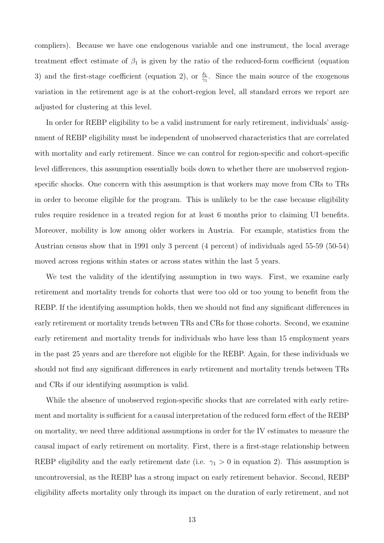compliers). Because we have one endogenous variable and one instrument, the local average treatment effect estimate of  $\beta_1$  is given by the ratio of the reduced-form coefficient (equation 3) and the first-stage coefficient (equation 2), or  $\frac{\delta_1}{\gamma_1}$ . Since the main source of the exogenous variation in the retirement age is at the cohort-region level, all standard errors we report are adjusted for clustering at this level.

In order for REBP eligibility to be a valid instrument for early retirement, individuals' assignment of REBP eligibility must be independent of unobserved characteristics that are correlated with mortality and early retirement. Since we can control for region-specific and cohort-specific level differences, this assumption essentially boils down to whether there are unobserved regionspecific shocks. One concern with this assumption is that workers may move from CRs to TRs in order to become eligible for the program. This is unlikely to be the case because eligibility rules require residence in a treated region for at least 6 months prior to claiming UI benefits. Moreover, mobility is low among older workers in Austria. For example, statistics from the Austrian census show that in 1991 only 3 percent (4 percent) of individuals aged 55-59 (50-54) moved across regions within states or across states within the last 5 years.

We test the validity of the identifying assumption in two ways. First, we examine early retirement and mortality trends for cohorts that were too old or too young to benefit from the REBP. If the identifying assumption holds, then we should not find any significant differences in early retirement or mortality trends between TRs and CRs for those cohorts. Second, we examine early retirement and mortality trends for individuals who have less than 15 employment years in the past 25 years and are therefore not eligible for the REBP. Again, for these individuals we should not find any significant differences in early retirement and mortality trends between TRs and CRs if our identifying assumption is valid.

While the absence of unobserved region-specific shocks that are correlated with early retirement and mortality is sufficient for a causal interpretation of the reduced form effect of the REBP on mortality, we need three additional assumptions in order for the IV estimates to measure the causal impact of early retirement on mortality. First, there is a first-stage relationship between REBP eligibility and the early retirement date (i.e.  $\gamma_1 > 0$  in equation 2). This assumption is uncontroversial, as the REBP has a strong impact on early retirement behavior. Second, REBP eligibility affects mortality only through its impact on the duration of early retirement, and not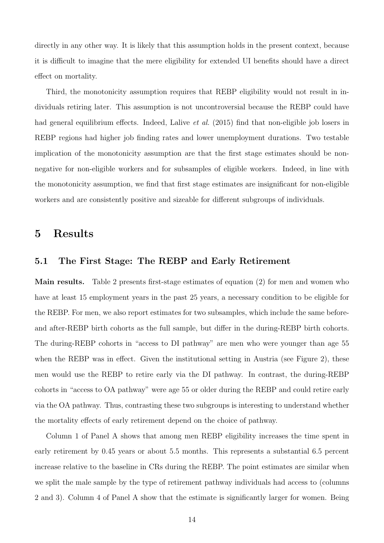directly in any other way. It is likely that this assumption holds in the present context, because it is difficult to imagine that the mere eligibility for extended UI benefits should have a direct effect on mortality.

Third, the monotonicity assumption requires that REBP eligibility would not result in individuals retiring later. This assumption is not uncontroversial because the REBP could have had general equilibrium effects. Indeed, Lalive et al. (2015) find that non-eligible job losers in REBP regions had higher job finding rates and lower unemployment durations. Two testable implication of the monotonicity assumption are that the first stage estimates should be nonnegative for non-eligible workers and for subsamples of eligible workers. Indeed, in line with the monotonicity assumption, we find that first stage estimates are insignificant for non-eligible workers and are consistently positive and sizeable for different subgroups of individuals.

## 5 Results

### 5.1 The First Stage: The REBP and Early Retirement

Main results. Table 2 presents first-stage estimates of equation (2) for men and women who have at least 15 employment years in the past 25 years, a necessary condition to be eligible for the REBP. For men, we also report estimates for two subsamples, which include the same beforeand after-REBP birth cohorts as the full sample, but differ in the during-REBP birth cohorts. The during-REBP cohorts in "access to DI pathway" are men who were younger than age 55 when the REBP was in effect. Given the institutional setting in Austria (see Figure 2), these men would use the REBP to retire early via the DI pathway. In contrast, the during-REBP cohorts in "access to OA pathway" were age 55 or older during the REBP and could retire early via the OA pathway. Thus, contrasting these two subgroups is interesting to understand whether the mortality effects of early retirement depend on the choice of pathway.

Column 1 of Panel A shows that among men REBP eligibility increases the time spent in early retirement by 0.45 years or about 5.5 months. This represents a substantial 6.5 percent increase relative to the baseline in CRs during the REBP. The point estimates are similar when we split the male sample by the type of retirement pathway individuals had access to (columns 2 and 3). Column 4 of Panel A show that the estimate is significantly larger for women. Being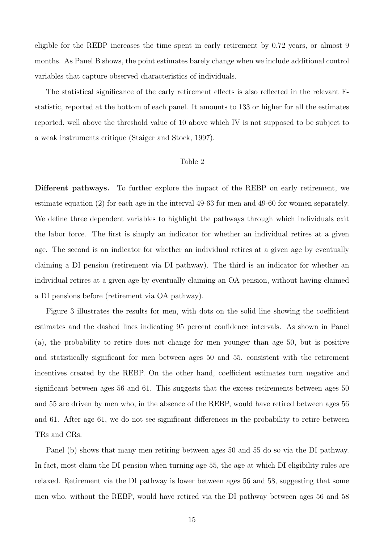eligible for the REBP increases the time spent in early retirement by 0.72 years, or almost 9 months. As Panel B shows, the point estimates barely change when we include additional control variables that capture observed characteristics of individuals.

The statistical significance of the early retirement effects is also reflected in the relevant Fstatistic, reported at the bottom of each panel. It amounts to 133 or higher for all the estimates reported, well above the threshold value of 10 above which IV is not supposed to be subject to a weak instruments critique (Staiger and Stock, 1997).

#### Table 2

Different pathways. To further explore the impact of the REBP on early retirement, we estimate equation (2) for each age in the interval 49-63 for men and 49-60 for women separately. We define three dependent variables to highlight the pathways through which individuals exit the labor force. The first is simply an indicator for whether an individual retires at a given age. The second is an indicator for whether an individual retires at a given age by eventually claiming a DI pension (retirement via DI pathway). The third is an indicator for whether an individual retires at a given age by eventually claiming an OA pension, without having claimed a DI pensions before (retirement via OA pathway).

Figure 3 illustrates the results for men, with dots on the solid line showing the coefficient estimates and the dashed lines indicating 95 percent confidence intervals. As shown in Panel (a), the probability to retire does not change for men younger than age 50, but is positive and statistically significant for men between ages 50 and 55, consistent with the retirement incentives created by the REBP. On the other hand, coefficient estimates turn negative and significant between ages 56 and 61. This suggests that the excess retirements between ages 50 and 55 are driven by men who, in the absence of the REBP, would have retired between ages 56 and 61. After age 61, we do not see significant differences in the probability to retire between TRs and CRs.

Panel (b) shows that many men retiring between ages 50 and 55 do so via the DI pathway. In fact, most claim the DI pension when turning age 55, the age at which DI eligibility rules are relaxed. Retirement via the DI pathway is lower between ages 56 and 58, suggesting that some men who, without the REBP, would have retired via the DI pathway between ages 56 and 58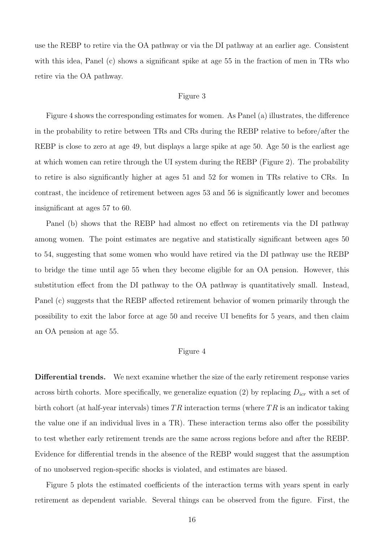use the REBP to retire via the OA pathway or via the DI pathway at an earlier age. Consistent with this idea, Panel (c) shows a significant spike at age 55 in the fraction of men in TRs who retire via the OA pathway.

#### Figure 3

Figure 4 shows the corresponding estimates for women. As Panel (a) illustrates, the difference in the probability to retire between TRs and CRs during the REBP relative to before/after the REBP is close to zero at age 49, but displays a large spike at age 50. Age 50 is the earliest age at which women can retire through the UI system during the REBP (Figure 2). The probability to retire is also significantly higher at ages 51 and 52 for women in TRs relative to CRs. In contrast, the incidence of retirement between ages 53 and 56 is significantly lower and becomes insignificant at ages 57 to 60.

Panel (b) shows that the REBP had almost no effect on retirements via the DI pathway among women. The point estimates are negative and statistically significant between ages 50 to 54, suggesting that some women who would have retired via the DI pathway use the REBP to bridge the time until age 55 when they become eligible for an OA pension. However, this substitution effect from the DI pathway to the OA pathway is quantitatively small. Instead, Panel (c) suggests that the REBP affected retirement behavior of women primarily through the possibility to exit the labor force at age 50 and receive UI benefits for 5 years, and then claim an OA pension at age 55.

#### Figure 4

Differential trends. We next examine whether the size of the early retirement response varies across birth cohorts. More specifically, we generalize equation (2) by replacing  $D_{icr}$  with a set of birth cohort (at half-year intervals) times  $TR$  interaction terms (where  $TR$  is an indicator taking the value one if an individual lives in a TR). These interaction terms also offer the possibility to test whether early retirement trends are the same across regions before and after the REBP. Evidence for differential trends in the absence of the REBP would suggest that the assumption of no unobserved region-specific shocks is violated, and estimates are biased.

Figure 5 plots the estimated coefficients of the interaction terms with years spent in early retirement as dependent variable. Several things can be observed from the figure. First, the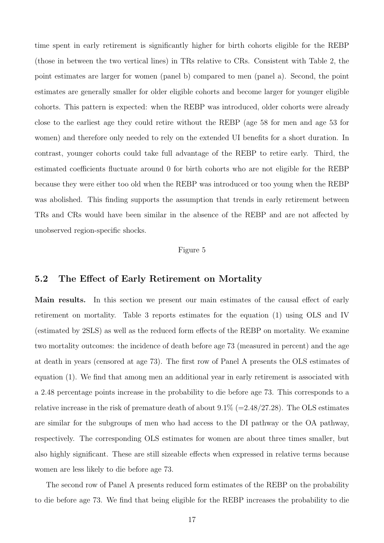time spent in early retirement is significantly higher for birth cohorts eligible for the REBP (those in between the two vertical lines) in TRs relative to CRs. Consistent with Table 2, the point estimates are larger for women (panel b) compared to men (panel a). Second, the point estimates are generally smaller for older eligible cohorts and become larger for younger eligible cohorts. This pattern is expected: when the REBP was introduced, older cohorts were already close to the earliest age they could retire without the REBP (age 58 for men and age 53 for women) and therefore only needed to rely on the extended UI benefits for a short duration. In contrast, younger cohorts could take full advantage of the REBP to retire early. Third, the estimated coefficients fluctuate around 0 for birth cohorts who are not eligible for the REBP because they were either too old when the REBP was introduced or too young when the REBP was abolished. This finding supports the assumption that trends in early retirement between TRs and CRs would have been similar in the absence of the REBP and are not affected by unobserved region-specific shocks.

#### Figure 5

### 5.2 The Effect of Early Retirement on Mortality

Main results. In this section we present our main estimates of the causal effect of early retirement on mortality. Table 3 reports estimates for the equation (1) using OLS and IV (estimated by 2SLS) as well as the reduced form effects of the REBP on mortality. We examine two mortality outcomes: the incidence of death before age 73 (measured in percent) and the age at death in years (censored at age 73). The first row of Panel A presents the OLS estimates of equation (1). We find that among men an additional year in early retirement is associated with a 2.48 percentage points increase in the probability to die before age 73. This corresponds to a relative increase in the risk of premature death of about  $9.1\%$  (=2.48/27.28). The OLS estimates are similar for the subgroups of men who had access to the DI pathway or the OA pathway, respectively. The corresponding OLS estimates for women are about three times smaller, but also highly significant. These are still sizeable effects when expressed in relative terms because women are less likely to die before age 73.

The second row of Panel A presents reduced form estimates of the REBP on the probability to die before age 73. We find that being eligible for the REBP increases the probability to die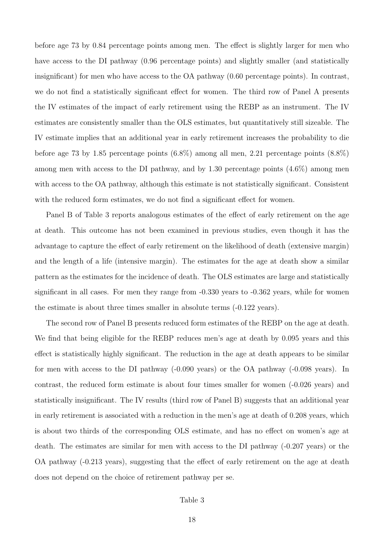before age 73 by 0.84 percentage points among men. The effect is slightly larger for men who have access to the DI pathway  $(0.96$  percentage points) and slightly smaller (and statistically insignificant) for men who have access to the OA pathway (0.60 percentage points). In contrast, we do not find a statistically significant effect for women. The third row of Panel A presents the IV estimates of the impact of early retirement using the REBP as an instrument. The IV estimates are consistently smaller than the OLS estimates, but quantitatively still sizeable. The IV estimate implies that an additional year in early retirement increases the probability to die before age 73 by 1.85 percentage points (6.8%) among all men, 2.21 percentage points (8.8%) among men with access to the DI pathway, and by 1.30 percentage points (4.6%) among men with access to the OA pathway, although this estimate is not statistically significant. Consistent with the reduced form estimates, we do not find a significant effect for women.

Panel B of Table 3 reports analogous estimates of the effect of early retirement on the age at death. This outcome has not been examined in previous studies, even though it has the advantage to capture the effect of early retirement on the likelihood of death (extensive margin) and the length of a life (intensive margin). The estimates for the age at death show a similar pattern as the estimates for the incidence of death. The OLS estimates are large and statistically significant in all cases. For men they range from  $-0.330$  years to  $-0.362$  years, while for women the estimate is about three times smaller in absolute terms (-0.122 years).

The second row of Panel B presents reduced form estimates of the REBP on the age at death. We find that being eligible for the REBP reduces men's age at death by 0.095 years and this effect is statistically highly significant. The reduction in the age at death appears to be similar for men with access to the DI pathway (-0.090 years) or the OA pathway (-0.098 years). In contrast, the reduced form estimate is about four times smaller for women (-0.026 years) and statistically insignificant. The IV results (third row of Panel B) suggests that an additional year in early retirement is associated with a reduction in the men's age at death of 0.208 years, which is about two thirds of the corresponding OLS estimate, and has no effect on women's age at death. The estimates are similar for men with access to the DI pathway (-0.207 years) or the OA pathway (-0.213 years), suggesting that the effect of early retirement on the age at death does not depend on the choice of retirement pathway per se.

#### Table 3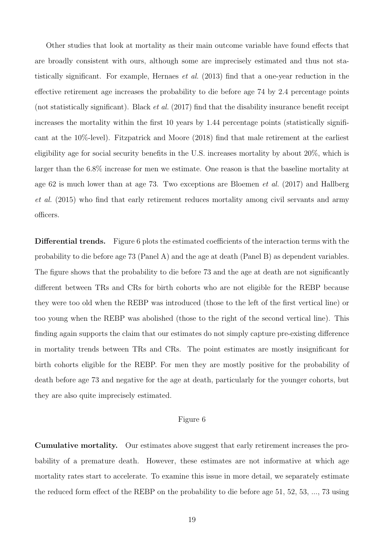Other studies that look at mortality as their main outcome variable have found effects that are broadly consistent with ours, although some are imprecisely estimated and thus not statistically significant. For example, Hernaes et al. (2013) find that a one-year reduction in the effective retirement age increases the probability to die before age 74 by 2.4 percentage points (not statistically significant). Black et al. (2017) find that the disability insurance benefit receipt increases the mortality within the first 10 years by 1.44 percentage points (statistically significant at the 10%-level). Fitzpatrick and Moore (2018) find that male retirement at the earliest eligibility age for social security benefits in the U.S. increases mortality by about 20%, which is larger than the 6.8% increase for men we estimate. One reason is that the baseline mortality at age 62 is much lower than at age 73. Two exceptions are Bloemen et al. (2017) and Hallberg et al. (2015) who find that early retirement reduces mortality among civil servants and army officers.

Differential trends. Figure 6 plots the estimated coefficients of the interaction terms with the probability to die before age 73 (Panel A) and the age at death (Panel B) as dependent variables. The figure shows that the probability to die before 73 and the age at death are not significantly different between TRs and CRs for birth cohorts who are not eligible for the REBP because they were too old when the REBP was introduced (those to the left of the first vertical line) or too young when the REBP was abolished (those to the right of the second vertical line). This finding again supports the claim that our estimates do not simply capture pre-existing difference in mortality trends between TRs and CRs. The point estimates are mostly insignificant for birth cohorts eligible for the REBP. For men they are mostly positive for the probability of death before age 73 and negative for the age at death, particularly for the younger cohorts, but they are also quite imprecisely estimated.

#### Figure 6

Cumulative mortality. Our estimates above suggest that early retirement increases the probability of a premature death. However, these estimates are not informative at which age mortality rates start to accelerate. To examine this issue in more detail, we separately estimate the reduced form effect of the REBP on the probability to die before age 51, 52, 53, ..., 73 using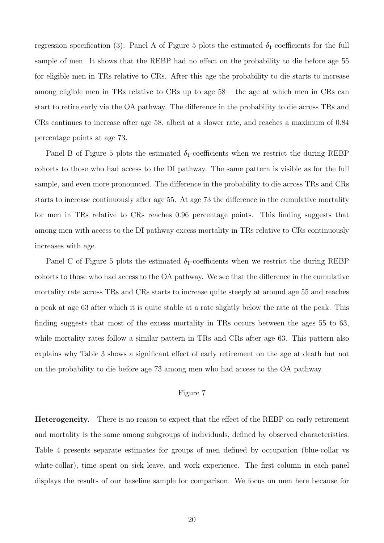regression specification (3). Panel A of Figure 5 plots the estimated  $\delta_1$ -coefficients for the full sample of men. It shows that the REBP had no effect on the probability to die before age 55 for eligible men in TRs relative to CRs. After this age the probability to die starts to increase among eligible men in TRs relative to CRs up to age 58 – the age at which men in CRs can start to retire early via the OA pathway. The difference in the probability to die across TRs and CRs continues to increase after age 58, albeit at a slower rate, and reaches a maximum of 0.84 percentage points at age 73.

Panel B of Figure 5 plots the estimated  $\delta_1$ -coefficients when we restrict the during REBP cohorts to those who had access to the DI pathway. The same pattern is visible as for the full sample, and even more pronounced. The difference in the probability to die across TRs and CRs starts to increase continuously after age 55. At age 73 the difference in the cumulative mortality for men in TRs relative to CRs reaches 0.96 percentage points. This finding suggests that among men with access to the DI pathway excess mortality in TRs relative to CRs continuously increases with age.

Panel C of Figure 5 plots the estimated  $\delta_1$ -coefficients when we restrict the during REBP cohorts to those who had access to the OA pathway. We see that the difference in the cumulative mortality rate across TRs and CRs starts to increase quite steeply at around age 55 and reaches a peak at age 63 after which it is quite stable at a rate slightly below the rate at the peak. This finding suggests that most of the excess mortality in TRs occurs between the ages 55 to 63, while mortality rates follow a similar pattern in TRs and CRs after age 63. This pattern also explains why Table 3 shows a significant effect of early retirement on the age at death but not on the probability to die before age 73 among men who had access to the OA pathway.

#### Figure 7

Heterogeneity. There is no reason to expect that the effect of the REBP on early retirement and mortality is the same among subgroups of individuals, defined by observed characteristics. Table 4 presents separate estimates for groups of men defined by occupation (blue-collar vs white-collar), time spent on sick leave, and work experience. The first column in each panel displays the results of our baseline sample for comparison. We focus on men here because for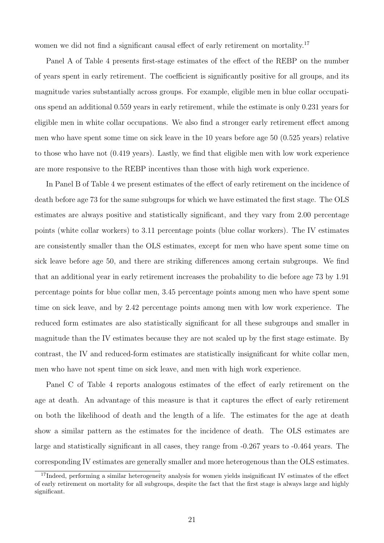women we did not find a significant causal effect of early retirement on mortality.<sup>17</sup>

Panel A of Table 4 presents first-stage estimates of the effect of the REBP on the number of years spent in early retirement. The coefficient is significantly positive for all groups, and its magnitude varies substantially across groups. For example, eligible men in blue collar occupations spend an additional 0.559 years in early retirement, while the estimate is only 0.231 years for eligible men in white collar occupations. We also find a stronger early retirement effect among men who have spent some time on sick leave in the 10 years before age 50 (0.525 years) relative to those who have not (0.419 years). Lastly, we find that eligible men with low work experience are more responsive to the REBP incentives than those with high work experience.

In Panel B of Table 4 we present estimates of the effect of early retirement on the incidence of death before age 73 for the same subgroups for which we have estimated the first stage. The OLS estimates are always positive and statistically significant, and they vary from 2.00 percentage points (white collar workers) to 3.11 percentage points (blue collar workers). The IV estimates are consistently smaller than the OLS estimates, except for men who have spent some time on sick leave before age 50, and there are striking differences among certain subgroups. We find that an additional year in early retirement increases the probability to die before age 73 by 1.91 percentage points for blue collar men, 3.45 percentage points among men who have spent some time on sick leave, and by 2.42 percentage points among men with low work experience. The reduced form estimates are also statistically significant for all these subgroups and smaller in magnitude than the IV estimates because they are not scaled up by the first stage estimate. By contrast, the IV and reduced-form estimates are statistically insignificant for white collar men, men who have not spent time on sick leave, and men with high work experience.

Panel C of Table 4 reports analogous estimates of the effect of early retirement on the age at death. An advantage of this measure is that it captures the effect of early retirement on both the likelihood of death and the length of a life. The estimates for the age at death show a similar pattern as the estimates for the incidence of death. The OLS estimates are large and statistically significant in all cases, they range from -0.267 years to -0.464 years. The corresponding IV estimates are generally smaller and more heterogenous than the OLS estimates.

<sup>&</sup>lt;sup>17</sup>Indeed, performing a similar heterogeneity analysis for women yields insignificant IV estimates of the effect of early retirement on mortality for all subgroups, despite the fact that the first stage is always large and highly significant.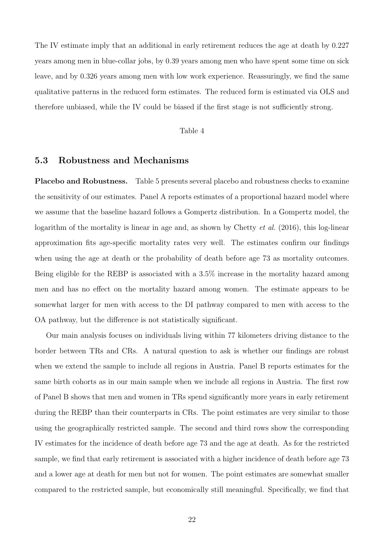The IV estimate imply that an additional in early retirement reduces the age at death by 0.227 years among men in blue-collar jobs, by 0.39 years among men who have spent some time on sick leave, and by 0.326 years among men with low work experience. Reassuringly, we find the same qualitative patterns in the reduced form estimates. The reduced form is estimated via OLS and therefore unbiased, while the IV could be biased if the first stage is not sufficiently strong.

#### Table 4

### 5.3 Robustness and Mechanisms

Placebo and Robustness. Table 5 presents several placebo and robustness checks to examine the sensitivity of our estimates. Panel A reports estimates of a proportional hazard model where we assume that the baseline hazard follows a Gompertz distribution. In a Gompertz model, the logarithm of the mortality is linear in age and, as shown by Chetty *et al.* (2016), this log-linear approximation fits age-specific mortality rates very well. The estimates confirm our findings when using the age at death or the probability of death before age 73 as mortality outcomes. Being eligible for the REBP is associated with a 3.5% increase in the mortality hazard among men and has no effect on the mortality hazard among women. The estimate appears to be somewhat larger for men with access to the DI pathway compared to men with access to the OA pathway, but the difference is not statistically significant.

Our main analysis focuses on individuals living within 77 kilometers driving distance to the border between TRs and CRs. A natural question to ask is whether our findings are robust when we extend the sample to include all regions in Austria. Panel B reports estimates for the same birth cohorts as in our main sample when we include all regions in Austria. The first row of Panel B shows that men and women in TRs spend significantly more years in early retirement during the REBP than their counterparts in CRs. The point estimates are very similar to those using the geographically restricted sample. The second and third rows show the corresponding IV estimates for the incidence of death before age 73 and the age at death. As for the restricted sample, we find that early retirement is associated with a higher incidence of death before age 73 and a lower age at death for men but not for women. The point estimates are somewhat smaller compared to the restricted sample, but economically still meaningful. Specifically, we find that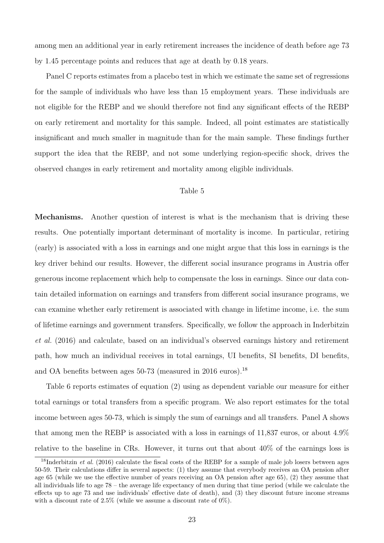among men an additional year in early retirement increases the incidence of death before age 73 by 1.45 percentage points and reduces that age at death by 0.18 years.

Panel C reports estimates from a placebo test in which we estimate the same set of regressions for the sample of individuals who have less than 15 employment years. These individuals are not eligible for the REBP and we should therefore not find any significant effects of the REBP on early retirement and mortality for this sample. Indeed, all point estimates are statistically insignificant and much smaller in magnitude than for the main sample. These findings further support the idea that the REBP, and not some underlying region-specific shock, drives the observed changes in early retirement and mortality among eligible individuals.

#### Table 5

Mechanisms. Another question of interest is what is the mechanism that is driving these results. One potentially important determinant of mortality is income. In particular, retiring (early) is associated with a loss in earnings and one might argue that this loss in earnings is the key driver behind our results. However, the different social insurance programs in Austria offer generous income replacement which help to compensate the loss in earnings. Since our data contain detailed information on earnings and transfers from different social insurance programs, we can examine whether early retirement is associated with change in lifetime income, i.e. the sum of lifetime earnings and government transfers. Specifically, we follow the approach in Inderbitzin et al. (2016) and calculate, based on an individual's observed earnings history and retirement path, how much an individual receives in total earnings, UI benefits, SI benefits, DI benefits, and OA benefits between ages  $50-73$  (measured in 2016 euros).<sup>18</sup>

Table 6 reports estimates of equation (2) using as dependent variable our measure for either total earnings or total transfers from a specific program. We also report estimates for the total income between ages 50-73, which is simply the sum of earnings and all transfers. Panel A shows that among men the REBP is associated with a loss in earnings of 11,837 euros, or about 4.9% relative to the baseline in CRs. However, it turns out that about 40% of the earnings loss is

<sup>&</sup>lt;sup>18</sup>Inderbitzin *et al.* (2016) calculate the fiscal costs of the REBP for a sample of male job losers between ages 50-59. Their calculations differ in several aspects: (1) they assume that everybody receives an OA pension after age 65 (while we use the effective number of years receiving an OA pension after age 65), (2) they assume that all individuals life to age 78 – the average life expectancy of men during that time period (while we calculate the effects up to age 73 and use individuals' effective date of death), and (3) they discount future income streams with a discount rate of  $2.5\%$  (while we assume a discount rate of  $0\%$ ).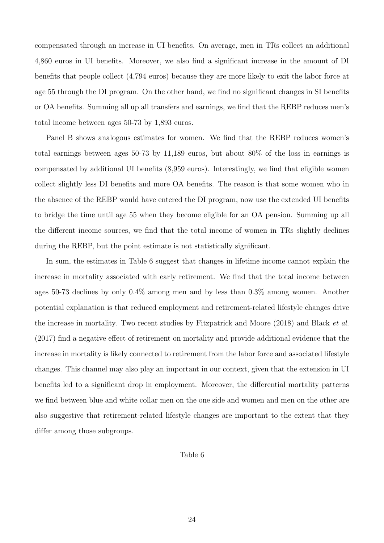compensated through an increase in UI benefits. On average, men in TRs collect an additional 4,860 euros in UI benefits. Moreover, we also find a significant increase in the amount of DI benefits that people collect (4,794 euros) because they are more likely to exit the labor force at age 55 through the DI program. On the other hand, we find no significant changes in SI benefits or OA benefits. Summing all up all transfers and earnings, we find that the REBP reduces men's total income between ages 50-73 by 1,893 euros.

Panel B shows analogous estimates for women. We find that the REBP reduces women's total earnings between ages 50-73 by 11,189 euros, but about 80% of the loss in earnings is compensated by additional UI benefits (8,959 euros). Interestingly, we find that eligible women collect slightly less DI benefits and more OA benefits. The reason is that some women who in the absence of the REBP would have entered the DI program, now use the extended UI benefits to bridge the time until age 55 when they become eligible for an OA pension. Summing up all the different income sources, we find that the total income of women in TRs slightly declines during the REBP, but the point estimate is not statistically significant.

In sum, the estimates in Table 6 suggest that changes in lifetime income cannot explain the increase in mortality associated with early retirement. We find that the total income between ages 50-73 declines by only 0.4% among men and by less than 0.3% among women. Another potential explanation is that reduced employment and retirement-related lifestyle changes drive the increase in mortality. Two recent studies by Fitzpatrick and Moore (2018) and Black et al. (2017) find a negative effect of retirement on mortality and provide additional evidence that the increase in mortality is likely connected to retirement from the labor force and associated lifestyle changes. This channel may also play an important in our context, given that the extension in UI benefits led to a significant drop in employment. Moreover, the differential mortality patterns we find between blue and white collar men on the one side and women and men on the other are also suggestive that retirement-related lifestyle changes are important to the extent that they differ among those subgroups.

#### Table 6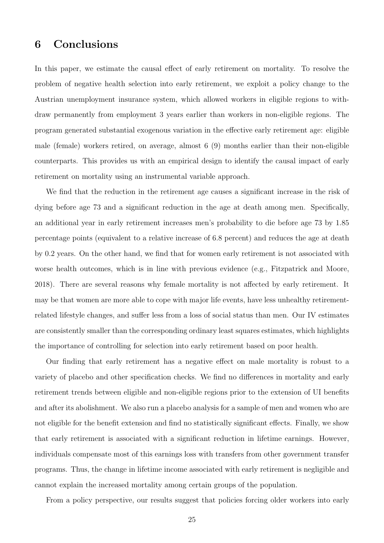# 6 Conclusions

In this paper, we estimate the causal effect of early retirement on mortality. To resolve the problem of negative health selection into early retirement, we exploit a policy change to the Austrian unemployment insurance system, which allowed workers in eligible regions to withdraw permanently from employment 3 years earlier than workers in non-eligible regions. The program generated substantial exogenous variation in the effective early retirement age: eligible male (female) workers retired, on average, almost 6 (9) months earlier than their non-eligible counterparts. This provides us with an empirical design to identify the causal impact of early retirement on mortality using an instrumental variable approach.

We find that the reduction in the retirement age causes a significant increase in the risk of dying before age 73 and a significant reduction in the age at death among men. Specifically, an additional year in early retirement increases men's probability to die before age 73 by 1.85 percentage points (equivalent to a relative increase of 6.8 percent) and reduces the age at death by 0.2 years. On the other hand, we find that for women early retirement is not associated with worse health outcomes, which is in line with previous evidence (e.g., Fitzpatrick and Moore, 2018). There are several reasons why female mortality is not affected by early retirement. It may be that women are more able to cope with major life events, have less unhealthy retirementrelated lifestyle changes, and suffer less from a loss of social status than men. Our IV estimates are consistently smaller than the corresponding ordinary least squares estimates, which highlights the importance of controlling for selection into early retirement based on poor health.

Our finding that early retirement has a negative effect on male mortality is robust to a variety of placebo and other specification checks. We find no differences in mortality and early retirement trends between eligible and non-eligible regions prior to the extension of UI benefits and after its abolishment. We also run a placebo analysis for a sample of men and women who are not eligible for the benefit extension and find no statistically significant effects. Finally, we show that early retirement is associated with a significant reduction in lifetime earnings. However, individuals compensate most of this earnings loss with transfers from other government transfer programs. Thus, the change in lifetime income associated with early retirement is negligible and cannot explain the increased mortality among certain groups of the population.

From a policy perspective, our results suggest that policies forcing older workers into early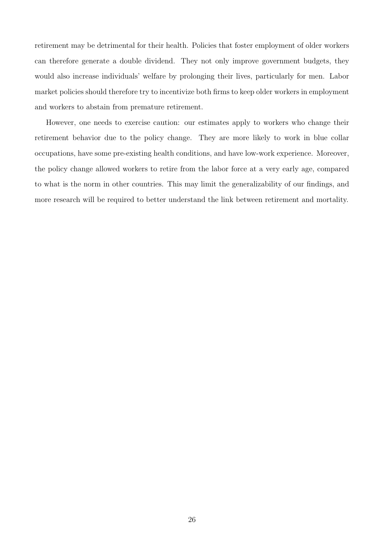retirement may be detrimental for their health. Policies that foster employment of older workers can therefore generate a double dividend. They not only improve government budgets, they would also increase individuals' welfare by prolonging their lives, particularly for men. Labor market policies should therefore try to incentivize both firms to keep older workers in employment and workers to abstain from premature retirement.

However, one needs to exercise caution: our estimates apply to workers who change their retirement behavior due to the policy change. They are more likely to work in blue collar occupations, have some pre-existing health conditions, and have low-work experience. Moreover, the policy change allowed workers to retire from the labor force at a very early age, compared to what is the norm in other countries. This may limit the generalizability of our findings, and more research will be required to better understand the link between retirement and mortality.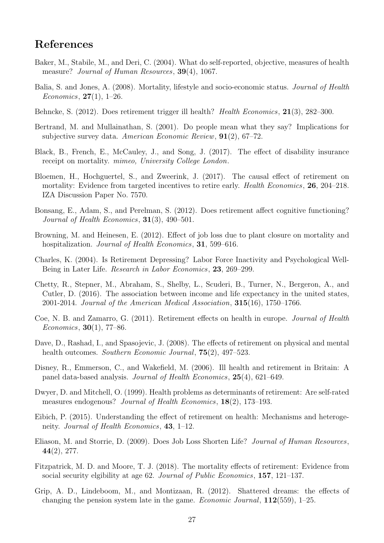## References

- Baker, M., Stabile, M., and Deri, C. (2004). What do self-reported, objective, measures of health measure? *Journal of Human Resources*, **39**(4), 1067.
- Balia, S. and Jones, A. (2008). Mortality, lifestyle and socio-economic status. Journal of Health *Economics*,  $27(1)$ , 1–26.
- Behncke, S. (2012). Does retirement trigger ill health? Health Economics, 21(3), 282–300.
- Bertrand, M. and Mullainathan, S. (2001). Do people mean what they say? Implications for subjective survey data. American Economic Review,  $91(2)$ , 67–72.
- Black, B., French, E., McCauley, J., and Song, J. (2017). The effect of disability insurance receipt on mortality. *mimeo, University College London*.
- Bloemen, H., Hochguertel, S., and Zweerink, J. (2017). The causal effect of retirement on mortality: Evidence from targeted incentives to retire early. *Health Economics*, **26**, 204–218. IZA Discussion Paper No. 7570.
- Bonsang, E., Adam, S., and Perelman, S. (2012). Does retirement affect cognitive functioning? Journal of Health Economics, **31**(3), 490–501.
- Browning, M. and Heinesen, E. (2012). Effect of job loss due to plant closure on mortality and hospitalization. *Journal of Health Economics*, **31**, 599–616.
- Charles, K. (2004). Is Retirement Depressing? Labor Force Inactivity and Psychological Well-Being in Later Life. Research in Labor Economics, 23, 269–299.
- Chetty, R., Stepner, M., Abraham, S., Shelby, L., Scuderi, B., Turner, N., Bergeron, A., and Cutler, D. (2016). The association between income and life expectancy in the united states, 2001-2014. Journal of the American Medical Association,  $315(16)$ , 1750–1766.
- Coe, N. B. and Zamarro, G. (2011). Retirement effects on health in europe. Journal of Health Economics, 30(1), 77–86.
- Dave, D., Rashad, I., and Spasojevic, J. (2008). The effects of retirement on physical and mental health outcomes. Southern Economic Journal, **75**(2), 497–523.
- Disney, R., Emmerson, C., and Wakefield, M. (2006). Ill health and retirement in Britain: A panel data-based analysis. Journal of Health Economics, 25(4), 621–649.
- Dwyer, D. and Mitchell, O. (1999). Health problems as determinants of retirement: Are self-rated measures endogenous? *Journal of Health Economics*, **18**(2), **173**–193.
- Eibich, P. (2015). Understanding the effect of retirement on health: Mechanisms and heterogeneity. Journal of Health Economics, 43, 1–12.
- Eliason, M. and Storrie, D. (2009). Does Job Loss Shorten Life? Journal of Human Resources, 44(2), 277.
- Fitzpatrick, M. D. and Moore, T. J. (2018). The mortality effects of retirement: Evidence from social security elgibility at age 62. Journal of Public Economics, 157, 121–137.
- Grip, A. D., Lindeboom, M., and Montizaan, R. (2012). Shattered dreams: the effects of changing the pension system late in the game. *Economic Journal*,  $112(559)$ , 1–25.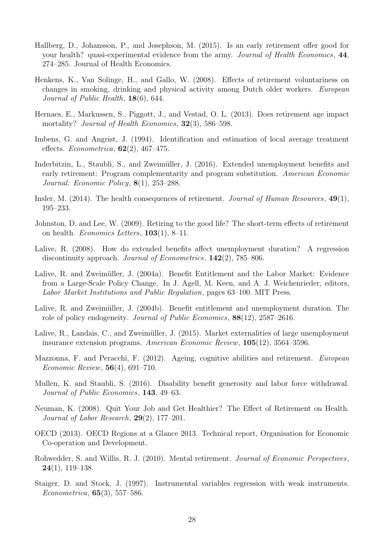- Hallberg, D., Johansson, P., and Josephson, M. (2015). Is an early retirement offer good for your health? quasi-experimental evidence from the army. Journal of Health Economics, 44, 274–285. Journal of Health Economics.
- Henkens, K., Van Solinge, H., and Gallo, W. (2008). Effects of retirement voluntariness on changes in smoking, drinking and physical activity among Dutch older workers. European Journal of Public Health, 18(6), 644.
- Hernaes, E., Markussen, S., Piggott, J., and Vestad, O. L. (2013). Does retirement age impact mortality? *Journal of Health Economics*, **32**(3), 586–598.
- Imbens, G. and Angrist, J. (1994). Identification and estimation of local average treatment effects. Econometrica,  $62(2)$ ,  $467-475$ .
- Inderbitzin, L., Staubli, S., and Zweimüller, J. (2016). Extended unemployment benefits and early retirement: Program complementarity and program substitution. American Economic Journal: Economic Policy, 8(1), 253–288.
- Insler, M. (2014). The health consequences of retirement. Journal of Human Resources,  $49(1)$ , 195–233.
- Johnston, D. and Lee, W. (2009). Retiring to the good life? The short-term effects of retirement on health. *Economics Letters*,  $103(1)$ , 8–11.
- Lalive, R. (2008). How do extended benefits affect unemployment duration? A regression discontinuity approach. *Journal of Econometrics*, **142**(2), 785–806.
- Lalive, R. and Zweimüller, J. (2004a). Benefit Entitlement and the Labor Market: Evidence from a Large-Scale Policy Change. In J. Agell, M. Keen, and A. J. Weichenrieder, editors, Labor Market Institutions and Public Regulation, pages 63–100. MIT Press.
- Lalive, R. and Zweimüller, J. (2004b). Benefit entitlement and unemployment duration. The role of policy endogeneity. Journal of Public Economics, 88(12), 2587–2616.
- Lalive, R., Landais, C., and Zweimüller, J. (2015). Market externalities of large unemployment insurance extension programs. American Economic Review, 105(12), 3564–3596.
- Mazzonna, F. and Peracchi, F. (2012). Ageing, cognitive abilities and retirement. European Economic Review, 56(4), 691–710.
- Mullen, K. and Staubli, S. (2016). Disability benefit generosity and labor force withdrawal. Journal of Public Economics, 143, 49–63.
- Neuman, K. (2008). Quit Your Job and Get Healthier? The Effect of Retirement on Health. Journal of Labor Research, 29(2), 177–201.
- OECD (2013). OECD Regions at a Glance 2013. Technical report, Organisation for Economic Co-operation and Development.
- Rohwedder, S. and Willis, R. J. (2010). Mental retirement. *Journal of Economic Perspectives*,  $24(1)$ , 119–138.
- Staiger, D. and Stock, J. (1997). Instrumental variables regression with weak instruments. Econometrica, 65(3), 557–586.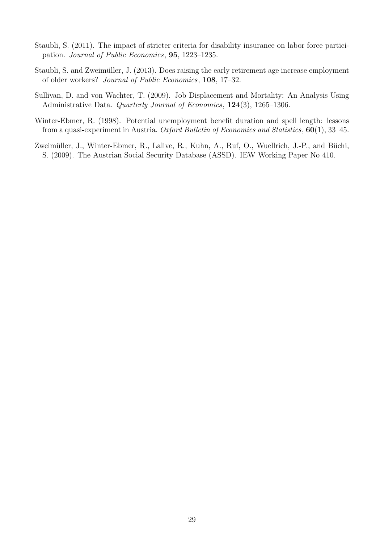- Staubli, S. (2011). The impact of stricter criteria for disability insurance on labor force participation. Journal of Public Economics, 95, 1223–1235.
- Staubli, S. and Zweimüller, J. (2013). Does raising the early retirement age increase employment of older workers? Journal of Public Economics, 108, 17–32.
- Sullivan, D. and von Wachter, T. (2009). Job Displacement and Mortality: An Analysis Using Administrative Data. Quarterly Journal of Economics, 124(3), 1265–1306.
- Winter-Ebmer, R. (1998). Potential unemployment benefit duration and spell length: lessons from a quasi-experiment in Austria. Oxford Bulletin of Economics and Statistics,  $60(1)$ , 33-45.
- Zweimüller, J., Winter-Ebmer, R., Lalive, R., Kuhn, A., Ruf, O., Wuellrich, J.-P., and Büchi, S. (2009). The Austrian Social Security Database (ASSD). IEW Working Paper No 410.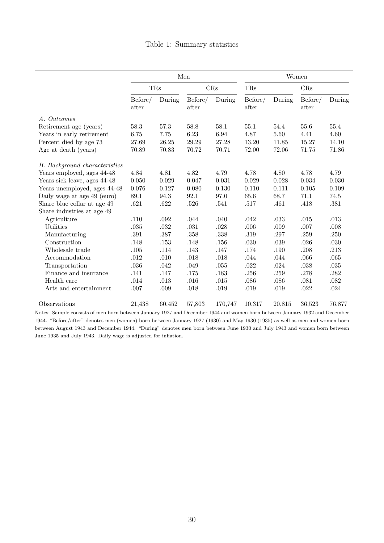|                                      | Men              |        |                  | Women    |                  |        |                  |          |
|--------------------------------------|------------------|--------|------------------|----------|------------------|--------|------------------|----------|
|                                      | TRs              |        | CRs              |          | TRs              |        | CRs              |          |
|                                      | Before/<br>after | During | Before/<br>after | During   | Before/<br>after | During | Before/<br>after | During   |
| A. Outcomes                          |                  |        |                  |          |                  |        |                  |          |
| Retirement age (years)               | 58.3             | 57.3   | 58.8             | 58.1     | 55.1             | 54.4   | 55.6             | 55.4     |
| Years in early retirement            | 6.75             | 7.75   | 6.23             | $6.94\,$ | 4.87             | 5.60   | 4.41             | 4.60     |
| Percent died by age 73               | 27.69            | 26.25  | 29.29            | 27.28    | 13.20            | 11.85  | 15.27            | 14.10    |
| Age at death (years)                 | 70.89            | 70.83  | 70.72            | 70.71    | 72.00            | 72.06  | 71.75            | 71.86    |
| <b>B.</b> Background characteristics |                  |        |                  |          |                  |        |                  |          |
| Years employed, ages 44-48           | 4.84             | 4.81   | 4.82             | 4.79     | 4.78             | 4.80   | 4.78             | 4.79     |
| Years sick leave, ages 44-48         | 0.050            | 0.029  | 0.047            | 0.031    | 0.029            | 0.028  | 0.034            | 0.030    |
| Years unemployed, ages 44-48         | 0.076            | 0.127  | 0.080            | 0.130    | 0.110            | 0.111  | 0.105            | 0.109    |
| Daily wage at age 49 (euro)          | 89.1             | 94.3   | 92.1             | 97.0     | 65.6             | 68.7   | 71.1             | 74.5     |
| Share blue collar at age 49          | .621             | .622   | .526             | .541     | .517             | .461   | .418             | .381     |
| Share industries at age 49           |                  |        |                  |          |                  |        |                  |          |
| Agriculture                          | .110             | .092   | .044             | .040     | .042             | .033   | .015             | .013     |
| Utilities                            | $.035\,$         | .032   | .031             | .028     | .006             | .009   | .007             | .008     |
| Manufacturing                        | $.391\,$         | .387   | .358             | .338     | .319             | .297   | $.259\,$         | .250     |
| Construction                         | .148             | .153   | .148             | .156     | .030             | .039   | .026             | $.030\,$ |
| Wholesale trade                      | .105             | .114   | .143             | .147     | .174             | .190   | .208             | .213     |
| Accommodation                        | .012             | .010   | .018             | .018     | .044             | .044   | .066             | .065     |
| Transportation                       | $.036\,$         | .042   | .049             | $.055\,$ | .022             | .024   | $.038\,$         | $.035\,$ |
| Finance and insurance                | .141             | .147   | .175             | .183     | .256             | .259   | $.278\,$         | .282     |
| Health care                          | .014             | .013   | .016             | .015     | .086             | .086   | .081             | .082     |
| Arts and entertainment               | .007             | .009   | .018             | $.019\,$ | $.019\,$         | .019   | $.022\,$         | $.024\,$ |
| Observations                         | 21,438           | 60,452 | 57,803           | 170,747  | 10,317           | 20,815 | 36,523           | 76,877   |

Notes: Sample consists of men born between January 1927 and December 1944 and women born between January 1932 and December 1944. "Before/after" denotes men (women) born between January 1927 (1930) and May 1930 (1935) as well as men and women born between August 1943 and December 1944. "During" denotes men born between June 1930 and July 1943 and women born between June 1935 and July 1943. Daily wage is adjusted for inflation.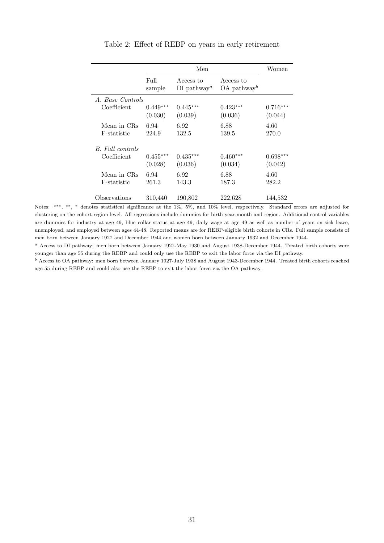|                  |                       | Women                                         |                                        |                       |
|------------------|-----------------------|-----------------------------------------------|----------------------------------------|-----------------------|
|                  | Full<br>sample        | Access to<br>$DI$ pathway <sup><i>a</i></sup> | Access to<br>$OA$ pathway <sup>b</sup> |                       |
| A. Base Controls |                       |                                               |                                        |                       |
| Coefficient      | $0.449***$<br>(0.030) | $0.445***$<br>(0.039)                         | $0.423***$<br>(0.036)                  | $0.716***$<br>(0.044) |
| Mean in CRs      | 6.94                  | 6.92                                          | 6.88                                   | 4.60                  |
| F-statistic      | 224.9                 | 132.5                                         | 139.5                                  | 270.0                 |
| B. Full controls |                       |                                               |                                        |                       |
| Coefficient      | $0.455***$            | $0.435***$                                    | $0.460***$                             | $0.698***$            |
|                  | (0.028)               | (0.036)                                       | (0.034)                                | (0.042)               |
| Mean in CRs      | 6.94                  | 6.92                                          | 6.88                                   | 4.60                  |
| F-statistic      | 261.3                 | 143.3                                         | 187.3                                  | 282.2                 |
| Observations     | 310,440               | 190,802                                       | 222,628                                | 144,532               |

#### Table 2: Effect of REBP on years in early retirement

Notes: \*\*\*, \*\*, \* denotes statistical significance at the 1%, 5%, and 10% level, respectively. Standard errors are adjusted for clustering on the cohort-region level. All regressions include dummies for birth year-month and region. Additional control variables are dummies for industry at age 49, blue collar status at age 49, daily wage at age 49 as well as number of years on sick leave, unemployed, and employed between ages 44-48. Reported means are for REBP-eligible birth cohorts in CRs. Full sample consists of men born between January 1927 and December 1944 and women born between January 1932 and December 1944.

<sup>a</sup> Access to DI pathway: men born between January 1927-May 1930 and August 1938-December 1944. Treated birth cohorts were younger than age 55 during the REBP and could only use the REBP to exit the labor force via the DI pathway.

<sup>b</sup> Access to OA pathway: men born between January 1927-July 1938 and August 1943-December 1944. Treated birth cohorts reached age 55 during REBP and could also use the REBP to exit the labor force via the OA pathway.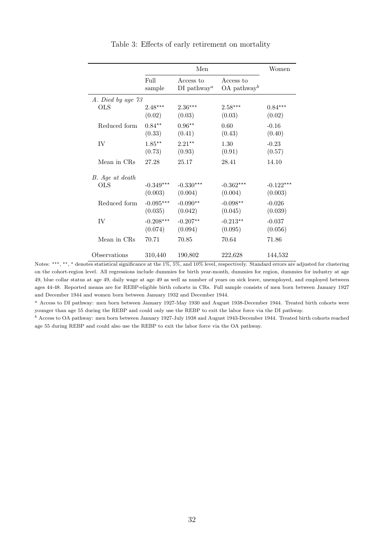|                   |                        | Men                                           |                                        |                        |  |
|-------------------|------------------------|-----------------------------------------------|----------------------------------------|------------------------|--|
|                   | Full<br>sample         | Access to<br>$DI$ pathway <sup><i>a</i></sup> | Access to<br>$OA$ pathway <sup>b</sup> |                        |  |
| A. Died by age 73 |                        |                                               |                                        |                        |  |
| OLS               | $2.48***$<br>(0.02)    | $2.36***$<br>(0.03)                           | $2.58***$<br>(0.03)                    | $0.84***$<br>(0.02)    |  |
| Reduced form      | $0.84**$<br>(0.33)     | $0.96**$<br>(0.41)                            | 0.60<br>(0.43)                         | $-0.16$<br>(0.40)      |  |
| IV                | $1.85***$<br>(0.73)    | $2.21***$<br>(0.93)                           | 1.30<br>(0.91)                         | $-0.23$<br>(0.57)      |  |
| Mean in CRs       | 27.28                  | 25.17                                         | 28.41                                  | 14.10                  |  |
| B. Age at death   |                        |                                               |                                        |                        |  |
| OLS               | $-0.349***$<br>(0.003) | $-0.330***$<br>(0.004)                        | $-0.362***$<br>(0.004)                 | $-0.122***$<br>(0.003) |  |
| Reduced form      | $-0.095***$<br>(0.035) | $-0.090**$<br>(0.042)                         | $-0.098**$<br>(0.045)                  | $-0.026$<br>(0.039)    |  |
| <b>IV</b>         | $-0.208***$<br>(0.074) | $-0.207**$<br>(0.094)                         | $-0.213**$<br>(0.095)                  | $-0.037$<br>(0.056)    |  |
| Mean in CRs       | 70.71                  | 70.85                                         | 70.64                                  | 71.86                  |  |
| Observations      | 310,440                | 190,802                                       | 222,628                                | 144,532                |  |

Table 3: Effects of early retirement on mortality

Notes: \*\*\*, \*\*, \* denotes statistical significance at the 1%, 5%, and 10% level, respectively. Standard errors are adjusted for clustering on the cohort-region level. All regressions include dummies for birth year-month, dummies for region, dummies for industry at age 49, blue collar status at age 49, daily wage at age 49 as well as number of years on sick leave, unemployed, and employed between ages 44-48. Reported means are for REBP-eligible birth cohorts in CRs. Full sample consists of men born between January 1927 and December 1944 and women born between January 1932 and December 1944.

<sup>a</sup> Access to DI pathway: men born between January 1927-May 1930 and August 1938-December 1944. Treated birth cohorts were younger than age 55 during the REBP and could only use the REBP to exit the labor force via the DI pathway.

<sup>b</sup> Access to OA pathway: men born between January 1927-July 1938 and August 1943-December 1944. Treated birth cohorts reached age 55 during REBP and could also use the REBP to exit the labor force via the OA pathway.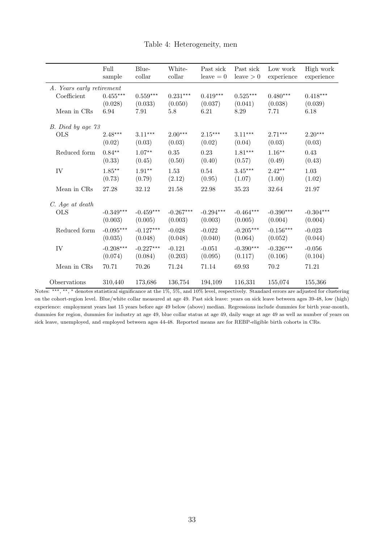|                           | Full<br>sample      | Blue-<br>collar | White-<br>collar | Past sick<br>$leave = 0$ | Past sick<br>leave $>0$    | Low work<br>experience | High work<br>experience |
|---------------------------|---------------------|-----------------|------------------|--------------------------|----------------------------|------------------------|-------------------------|
| A. Years early retirement |                     |                 |                  |                          |                            |                        |                         |
| Coefficient               | $0.455***$          | $0.559***$      | $0.231***$       | $0.419***$               | $0.525***$                 | $0.480***$             | $0.418***$              |
|                           | (0.028)             | (0.033)         | (0.050)          | (0.037)                  | (0.041)                    | (0.038)                | (0.039)                 |
| Mean in CRs               | 6.94                | 7.91            | 5.8              | 6.21                     | 8.29                       | 7.71                   | 6.18                    |
| B. Died by age 73         |                     |                 |                  |                          |                            |                        |                         |
| <b>OLS</b>                | $2.48***$           | $3.11***$       | $2.00***$        | $2.15***$                | $3.11***$                  | $2.71***$              | $2.20***$               |
|                           | (0.02)              | (0.03)          | (0.03)           | (0.02)                   | (0.04)                     | (0.03)                 | (0.03)                  |
| Reduced form              | $0.84**$            | $1.07***$       | 0.35             | 0.23                     | $1.81***$                  | $1.16***$              | 0.43                    |
|                           | (0.33)              | (0.45)          | (0.50)           | (0.40)                   | (0.57)                     | (0.49)                 | (0.43)                  |
| IV                        | $1.85^{\star\star}$ | $1.91**$        | 1.53             | 0.54                     | $3.45***$                  | $2.42**$               | 1.03                    |
|                           | (0.73)              | (0.79)          | (2.12)           | (0.95)                   | (1.07)                     | (1.00)                 | (1.02)                  |
| Mean in CRs               | 27.28               | 32.12           | 21.58            | 22.98                    | 35.23                      | 32.64                  | 21.97                   |
| C. Age at death           |                     |                 |                  |                          |                            |                        |                         |
| <b>OLS</b>                | $-0.349***$         | $-0.459***$     | $-0.267***$      | $-0.294***$              | $-0.464***$                | $-0.390***$            | $-0.304***$             |
|                           | (0.003)             | (0.005)         | (0.003)          | (0.003)                  | (0.005)                    | (0.004)                | (0.004)                 |
| Reduced form              | $-0.095***$         | $-0.127***$     | $-0.028$         | $-0.022$                 | $-0.205^{\star\star\star}$ | $-0.156***$            | $-0.023$                |
|                           | (0.035)             | (0.048)         | (0.048)          | (0.040)                  | (0.064)                    | (0.052)                | (0.044)                 |
| ${\rm IV}$                | $-0.208***$         | $-0.227***$     | $-0.121$         | $-0.051$                 | $-0.390***$                | $-0.326***$            | $-0.056$                |
|                           | (0.074)             | (0.084)         | (0.203)          | (0.095)                  | (0.117)                    | (0.106)                | (0.104)                 |
| Mean in CRs               | 70.71               | 70.26           | 71.24            | 71.14                    | 69.93                      | 70.2                   | 71.21                   |
| Observations              | 310,440             | 173,686         | 136,754          | 194,109                  | 116,331                    | 155,074                | 155,366                 |

#### Table 4: Heterogeneity, men

Notes: \*\*\*, \*\*, \* denotes statistical significance at the 1%, 5%, and 10% level, respectively. Standard errors are adjusted for clustering on the cohort-region level. Blue/white collar measured at age 49. Past sick leave: years on sick leave between ages 39-48, low (high) experience: employment years last 15 years before age 49 below (above) median. Regressions include dummies for birth year-month, dummies for region, dummies for industry at age 49, blue collar status at age 49, daily wage at age 49 as well as number of years on sick leave, unemployed, and employed between ages 44-48. Reported means are for REBP-eligible birth cohorts in CRs.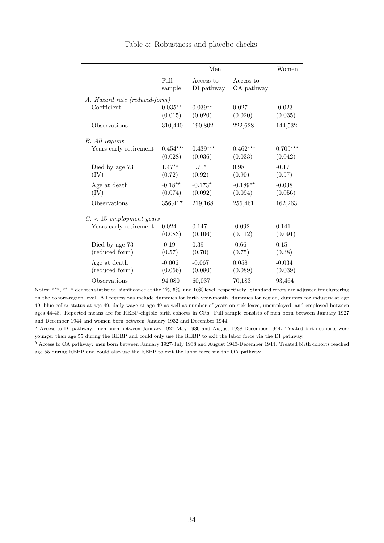|                                  |                       | Women                   |                         |                       |
|----------------------------------|-----------------------|-------------------------|-------------------------|-----------------------|
|                                  | Full<br>sample        | Access to<br>DI pathway | Access to<br>OA pathway |                       |
| A. Hazard rate (reduced-form)    |                       |                         |                         |                       |
| Coefficient                      | $0.035**$<br>(0.015)  | $0.039**$<br>(0.020)    | 0.027<br>(0.020)        | $-0.023$<br>(0.035)   |
| Observations                     | 310,440               | 190,802                 | 222,628                 | 144,532               |
| B. All regions                   |                       |                         |                         |                       |
| Years early retirement           | $0.454***$<br>(0.028) | $0.439***$<br>(0.036)   | $0.462***$<br>(0.033)   | $0.705***$<br>(0.042) |
| Died by age 73<br>(IV)           | $1.47**$<br>(0.72)    | $1.71*$<br>(0.92)       | 0.98<br>(0.90)          | $-0.17$<br>(0.57)     |
| Age at death<br>(IV)             | $-0.18**$<br>(0.074)  | $-0.173*$<br>(0.092)    | $-0.189**$<br>(0.094)   | $-0.038$<br>(0.056)   |
| Observations                     | 356,417               | 219,168                 | 256,461                 | 162,263               |
| $C. < 15$ employment years       |                       |                         |                         |                       |
| Years early retirement           | 0.024<br>(0.083)      | 0.147<br>(0.106)        | $-0.092$<br>(0.112)     | 0.141<br>(0.091)      |
| Died by age 73<br>(reduced form) | $-0.19$<br>(0.57)     | 0.39<br>(0.70)          | $-0.66$<br>(0.75)       | 0.15<br>(0.38)        |
| Age at death<br>(reduced form)   | $-0.006$<br>(0.066)   | $-0.067$<br>(0.080)     | 0.058<br>(0.089)        | $-0.034$<br>(0.039)   |
| Observations                     | 94,080                | 60,037                  | 70,183                  | 93,464                |

Table 5: Robustness and placebo checks

<sup>a</sup> Access to DI pathway: men born between January 1927-May 1930 and August 1938-December 1944. Treated birth cohorts were younger than age 55 during the REBP and could only use the REBP to exit the labor force via the DI pathway.

 $<sup>b</sup>$  Access to OA pathway: men born between January 1927-July 1938 and August 1943-December 1944. Treated birth cohorts reached</sup> age 55 during REBP and could also use the REBP to exit the labor force via the OA pathway.

Notes: \*\*\*, \*\*, \* denotes statistical significance at the 1%, 5%, and 10% level, respectively. Standard errors are adjusted for clustering on the cohort-region level. All regressions include dummies for birth year-month, dummies for region, dummies for industry at age 49, blue collar status at age 49, daily wage at age 49 as well as number of years on sick leave, unemployed, and employed between ages 44-48. Reported means are for REBP-eligible birth cohorts in CRs. Full sample consists of men born between January 1927 and December 1944 and women born between January 1932 and December 1944.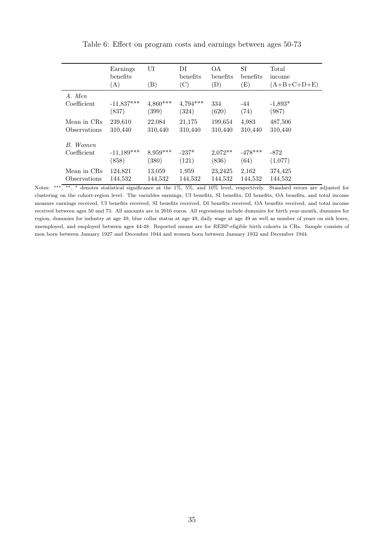|              | Earnings<br>benefits<br>(A) | UI<br>$\left( \mathrm{B}\right)$ | DI<br>benefits<br>(C) | OΑ.<br>benefits<br>(D) | SI<br>benefits<br>$\rm(E)$ | Total<br>income<br>$(A+B+C+D+E)$ |
|--------------|-----------------------------|----------------------------------|-----------------------|------------------------|----------------------------|----------------------------------|
| A. Men       | $-11,837***$                | $4,860***$                       | $4,794***$            | 334                    | $-44$                      | $-1,893*$                        |
| Coefficient  | (837)                       | (399)                            | (324)                 | (620)                  | (74)                       | (987)                            |
| Mean in CRs  | 239,610                     | 22,084                           | 21,175                | 199,654                | 4,983                      | 487,506                          |
| Observations | 310,440                     | 310,440                          | 310,440               | 310,440                | 310,440                    | 310,440                          |
| B. Women     | $-11,189***$                | $8,959***$                       | $-237*$               | $2,072**$              | $-478***$                  | $-872$                           |
| Coefficient  | (858)                       | (380)                            | (121)                 | (836)                  | (64)                       | (1,077)                          |
| Mean in CRs  | 124,821                     | 13,059                           | 1,959                 | 23,2425                | 2,162                      | 374,425                          |
| Observations | 144,532                     | 144,532                          | 144,532               | 144,532                | 144,532                    | 144,532                          |

Table 6: Effect on program costs and earnings between ages 50-73

Notes: \*\*\*, \*\*, \* denotes statistical significance at the 1%, 5%, and 10% level, respectively. Standard errors are adjusted for clustering on the cohort-region level. The variables earnings, UI benefits, SI benefits, DI benefits, OA benefits, and total income measure earnings received, UI benefits received, SI benefits received, DI benefits received, OA benefits received, and total income received between ages 50 and 73. All amounts are in 2016 euros. All regressions include dummies for birth year-month, dummies for region, dummies for industry at age 49, blue collar status at age 49, daily wage at age 49 as well as number of years on sick leave, unemployed, and employed between ages 44-48. Reported means are for REBP-eligible birth cohorts in CRs. Sample consists of men born between January 1927 and December 1944 and women born between January 1932 and December 1944.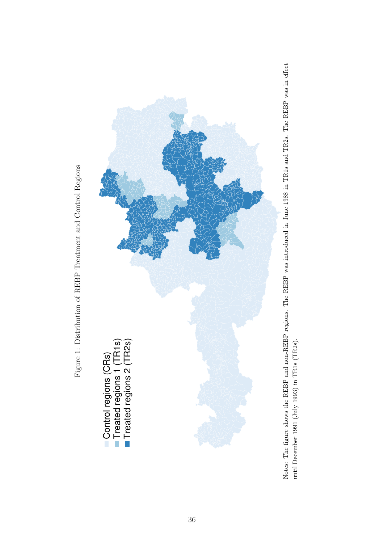



Notes: The figure shows the REBP and non-REBP regions. The REBP was introduced in June 1988 in TR1s and TR2s. The REBP was in effect Notes: The figure shows the REBP and non-REBP regions. The REBP was introduced in June 1988 in TR1s and TR2s. The REBP was in effect until December 1991 (July 1993) in TR1s (TR2s). until December 1991 (July 1993) in TR1s (TR2s).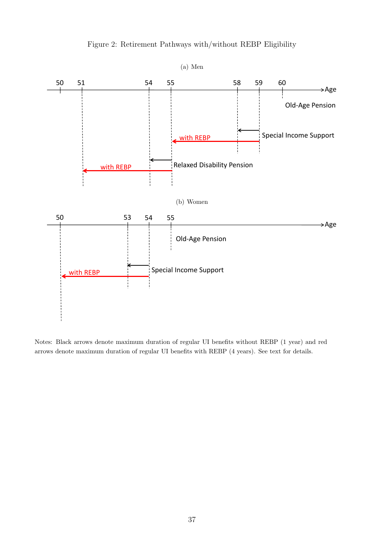

Figure 2: Retirement Pathways with/without REBP Eligibility

Notes: Black arrows denote maximum duration of regular UI benefits without REBP (1 year) and red arrows denote maximum duration of regular UI benefits with REBP (4 years). See text for details.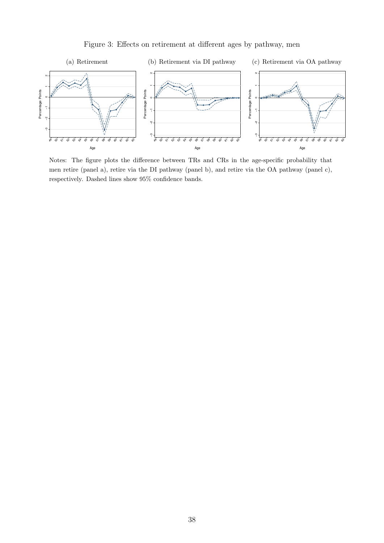

Figure 3: Effects on retirement at different ages by pathway, men

Notes: The figure plots the difference between TRs and CRs in the age-specific probability that men retire (panel a), retire via the DI pathway (panel b), and retire via the OA pathway (panel c), respectively. Dashed lines show 95% confidence bands.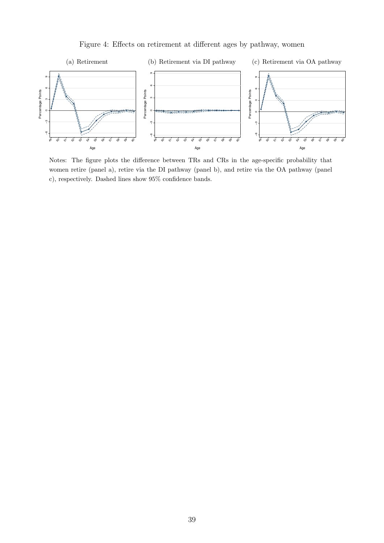

Figure 4: Effects on retirement at different ages by pathway, women

Notes: The figure plots the difference between TRs and CRs in the age-specific probability that women retire (panel a), retire via the DI pathway (panel b), and retire via the OA pathway (panel c), respectively. Dashed lines show 95% confidence bands.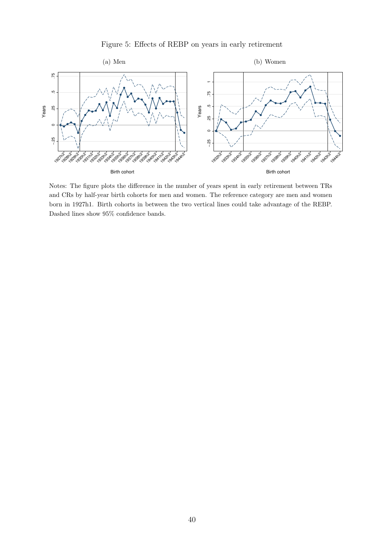#### Figure 5: Effects of REBP on years in early retirement



Notes: The figure plots the difference in the number of years spent in early retirement between TRs and CRs by half-year birth cohorts for men and women. The reference category are men and women born in 1927h1. Birth cohorts in between the two vertical lines could take advantage of the REBP. Dashed lines show 95% confidence bands.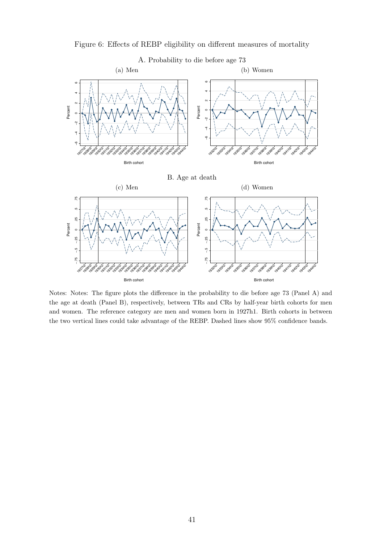



Notes: Notes: The figure plots the difference in the probability to die before age 73 (Panel A) and the age at death (Panel B), respectively, between TRs and CRs by half-year birth cohorts for men and women. The reference category are men and women born in 1927h1. Birth cohorts in between the two vertical lines could take advantage of the REBP. Dashed lines show 95% confidence bands.